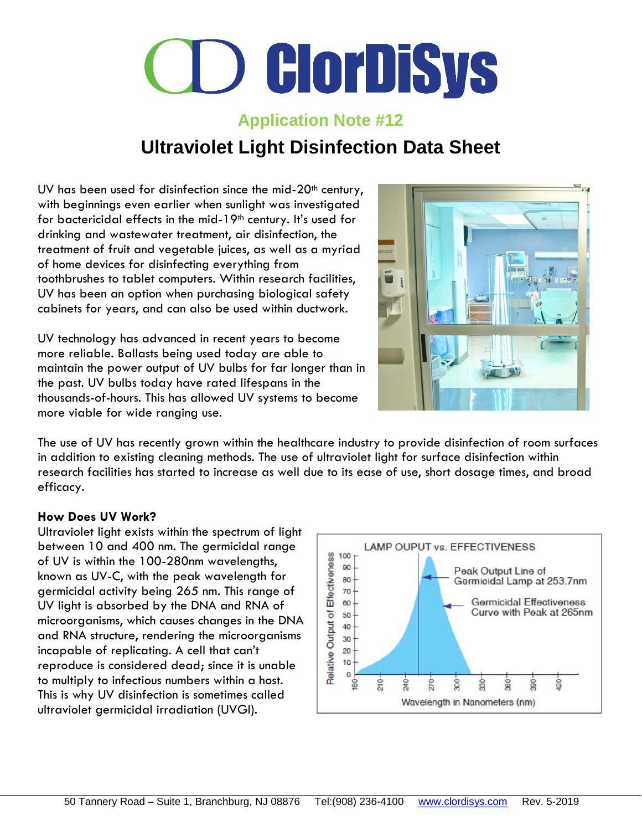### **Application Note #12 Ultraviolet Light Disinfection Data Sheet**

UV has been used for disinfection since the mid- $20<sup>th</sup>$  century, with beginnings even earlier when sunlight was investigated for bactericidal effects in the mid-19<sup>th</sup> century. It's used for drinking and wastewater treatment, air disinfection, the treatment of fruit and vegetable juices, as well as a myriad of home devices for disinfecting everything from toothbrushes to tablet computers. Within research facilities, UV has been an option when purchasing biological safety cabinets for years, and can also be used within ductwork.

UV technology has advanced in recent years to become more reliable. Ballasts being used today are able to maintain the power output of UV bulbs for far longer than in the past. UV bulbs today have rated lifespans in the thousands-of-hours. This has allowed UV systems to become more viable for wide ranging use.



The use of UV has recently grown within the healthcare industry to provide disinfection of room surfaces in addition to existing cleaning methods. The use of ultraviolet light for surface disinfection within research facilities has started to increase as well due to its ease of use, short dosage times, and broad efficacy.

### **How Does UV Work?**

Ultraviolet light exists within the spectrum of light between 10 and 400 nm. The germicidal range of UV is within the 100-280nm wavelengths, known as UV-C, with the peak wavelength for germicidal activity being 265 nm. This range of UV light is absorbed by the DNA and RNA of microorganisms, which causes changes in the DNA and RNA structure, rendering the microorganisms incapable of replicating. A cell that can't reproduce is considered dead; since it is unable to multiply to infectious numbers within a host. This is why UV disinfection is sometimes called ultraviolet germicidal irradiation (UVGI).

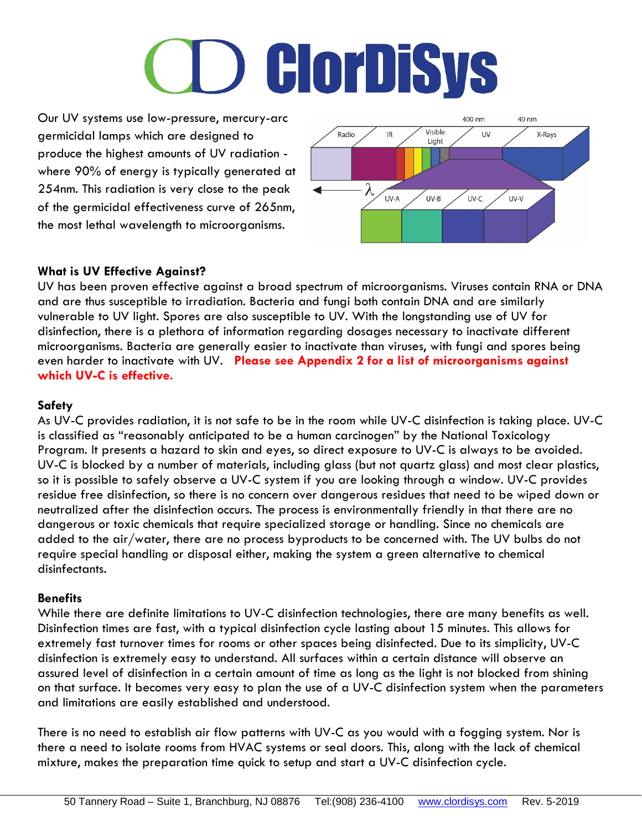# **O ClorDiSys**

Our UV systems use low-pressure, mercury-arc germicidal lamps which are designed to produce the highest amounts of UV radiation where 90% of energy is typically generated at 254nm. This radiation is very close to the peak of the germicidal effectiveness curve of 265nm, the most lethal wavelength to microorganisms.



### **What is UV Effective Against?**

UV has been proven effective against a broad spectrum of microorganisms. Viruses contain RNA or DNA and are thus susceptible to irradiation. Bacteria and fungi both contain DNA and are similarly vulnerable to UV light. Spores are also susceptible to UV. With the longstanding use of UV for disinfection, there is a plethora of information regarding dosages necessary to inactivate different microorganisms. Bacteria are generally easier to inactivate than viruses, with fungi and spores being even harder to inactivate with UV. **Please see Appendix 2 for a list of microorganisms against which UV-C is effective.**

### **Safety**

As UV-C provides radiation, it is not safe to be in the room while UV-C disinfection is taking place. UV-C is classified as "reasonably anticipated to be a human carcinogen" by the National Toxicology Program. It presents a hazard to skin and eyes, so direct exposure to UV-C is always to be avoided. UV-C is blocked by a number of materials, including glass (but not quartz glass) and most clear plastics, so it is possible to safely observe a UV-C system if you are looking through a window. UV-C provides residue free disinfection, so there is no concern over dangerous residues that need to be wiped down or neutralized after the disinfection occurs. The process is environmentally friendly in that there are no dangerous or toxic chemicals that require specialized storage or handling. Since no chemicals are added to the air/water, there are no process byproducts to be concerned with. The UV bulbs do not require special handling or disposal either, making the system a green alternative to chemical disinfectants.

### **Benefits**

While there are definite limitations to UV-C disinfection technologies, there are many benefits as well. Disinfection times are fast, with a typical disinfection cycle lasting about 15 minutes. This allows for extremely fast turnover times for rooms or other spaces being disinfected. Due to its simplicity, UV-C disinfection is extremely easy to understand. All surfaces within a certain distance will observe an assured level of disinfection in a certain amount of time as long as the light is not blocked from shining on that surface. It becomes very easy to plan the use of a UV-C disinfection system when the parameters and limitations are easily established and understood.

There is no need to establish air flow patterns with UV-C as you would with a fogging system. Nor is there a need to isolate rooms from HVAC systems or seal doors. This, along with the lack of chemical mixture, makes the preparation time quick to setup and start a UV-C disinfection cycle.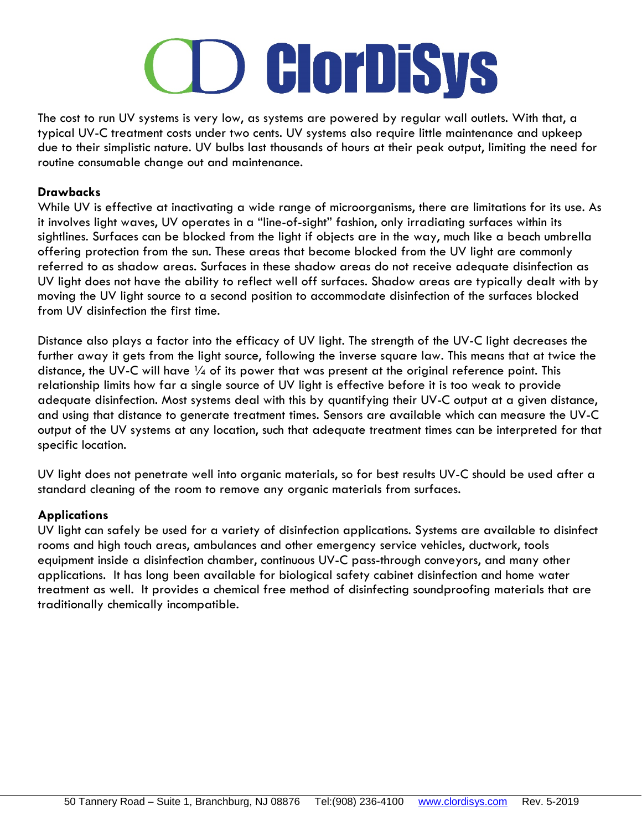### **D GlorDiSys**

The cost to run UV systems is very low, as systems are powered by regular wall outlets. With that, a typical UV-C treatment costs under two cents. UV systems also require little maintenance and upkeep due to their simplistic nature. UV bulbs last thousands of hours at their peak output, limiting the need for routine consumable change out and maintenance.

### **Drawbacks**

While UV is effective at inactivating a wide range of microorganisms, there are limitations for its use. As it involves light waves, UV operates in a "line-of-sight" fashion, only irradiating surfaces within its sightlines. Surfaces can be blocked from the light if objects are in the way, much like a beach umbrella offering protection from the sun. These areas that become blocked from the UV light are commonly referred to as shadow areas. Surfaces in these shadow areas do not receive adequate disinfection as UV light does not have the ability to reflect well off surfaces. Shadow areas are typically dealt with by moving the UV light source to a second position to accommodate disinfection of the surfaces blocked from UV disinfection the first time.

Distance also plays a factor into the efficacy of UV light. The strength of the UV-C light decreases the further away it gets from the light source, following the inverse square law. This means that at twice the distance, the UV-C will have  $\frac{1}{4}$  of its power that was present at the original reference point. This relationship limits how far a single source of UV light is effective before it is too weak to provide adequate disinfection. Most systems deal with this by quantifying their UV-C output at a given distance, and using that distance to generate treatment times. Sensors are available which can measure the UV-C output of the UV systems at any location, such that adequate treatment times can be interpreted for that specific location.

UV light does not penetrate well into organic materials, so for best results UV-C should be used after a standard cleaning of the room to remove any organic materials from surfaces.

### **Applications**

UV light can safely be used for a variety of disinfection applications. Systems are available to disinfect rooms and high touch areas, ambulances and other emergency service vehicles, ductwork, tools equipment inside a disinfection chamber, continuous UV-C pass-through conveyors, and many other applications. It has long been available for biological safety cabinet disinfection and home water treatment as well. It provides a chemical free method of disinfecting soundproofing materials that are traditionally chemically incompatible.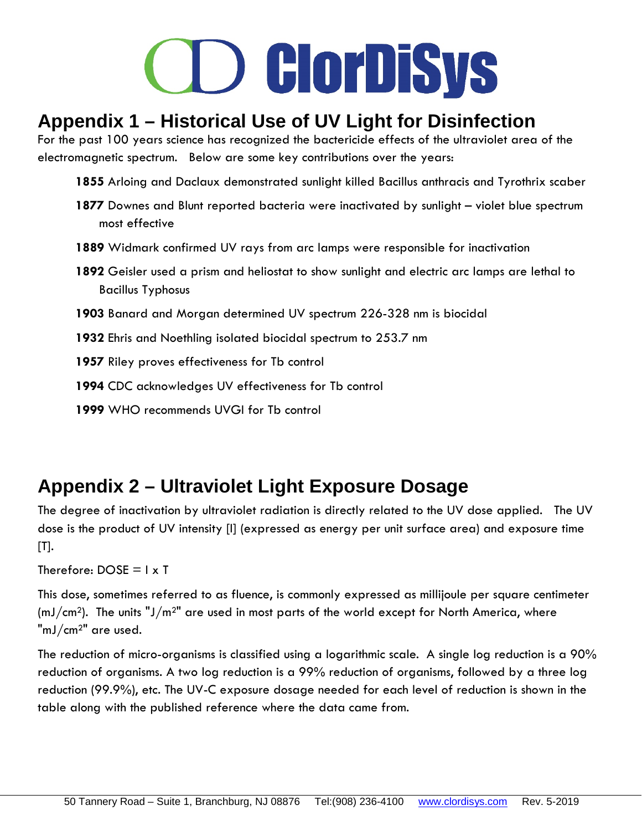### **Appendix 1 – Historical Use of UV Light for Disinfection**

For the past 100 years science has recognized the bactericide effects of the ultraviolet area of the electromagnetic spectrum. Below are some key contributions over the years:

- **1855** Arloing and Daclaux demonstrated sunlight killed Bacillus anthracis and Tyrothrix scaber
- **1877** Downes and Blunt reported bacteria were inactivated by sunlight violet blue spectrum most effective
- **1889** Widmark confirmed UV rays from arc lamps were responsible for inactivation
- **1892** Geisler used a prism and heliostat to show sunlight and electric arc lamps are lethal to Bacillus Typhosus
- **1903** Banard and Morgan determined UV spectrum 226-328 nm is biocidal
- **1932** Ehris and Noethling isolated biocidal spectrum to 253.7 nm

**1957** Riley proves effectiveness for Tb control

- **1994** CDC acknowledges UV effectiveness for Tb control
- 1999 WHO recommends UVGI for Tb control

### **Appendix 2 – Ultraviolet Light Exposure Dosage**

The degree of inactivation by ultraviolet radiation is directly related to the UV dose applied. The UV dose is the product of UV intensity [I] (expressed as energy per unit surface area) and exposure time  $[T]$ .

```
Therefore: DOSE = I \times T
```
This dose, sometimes referred to as fluence, is commonly expressed as millijoule per square centimeter  $(mJ/cm<sup>2</sup>)$ . The units " $J/m<sup>2</sup>$ " are used in most parts of the world except for North America, where "mJ/cm2" are used.

The reduction of micro-organisms is classified using a logarithmic scale. A single log reduction is a 90% reduction of organisms. A two log reduction is a 99% reduction of organisms, followed by a three log reduction (99.9%), etc. The UV-C exposure dosage needed for each level of reduction is shown in the table along with the published reference where the data came from.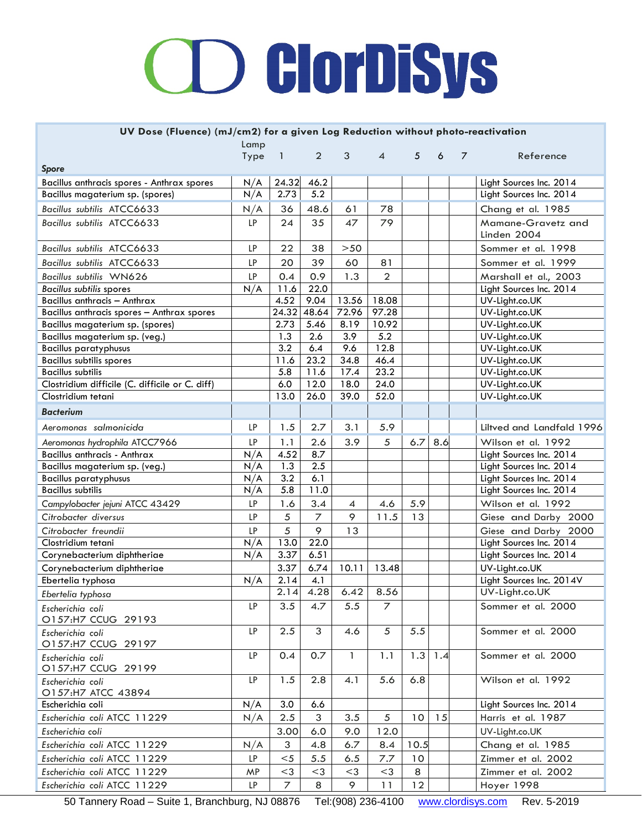| UV Dose (Fluence) (mJ/cm2) for a given Log Reduction without photo-reactivation |           |                |                |       |                |      |     |                |                           |
|---------------------------------------------------------------------------------|-----------|----------------|----------------|-------|----------------|------|-----|----------------|---------------------------|
|                                                                                 | Lamp      |                |                |       |                |      |     |                |                           |
|                                                                                 | Type      | $\overline{1}$ | $\overline{2}$ | 3     | $\overline{4}$ | 5    | 6   | $\overline{7}$ | Reference                 |
| <b>Spore</b>                                                                    |           |                |                |       |                |      |     |                |                           |
| Bacillus anthracis spores - Anthrax spores                                      | N/A       | 24.32          | 46.2           |       |                |      |     |                | Light Sources Inc. 2014   |
| Bacillus magaterium sp. (spores)                                                | N/A       | 2.73           | 5.2            |       |                |      |     |                | Light Sources Inc. 2014   |
| Bacillus subtilis ATCC6633                                                      | N/A       | 36             | 48.6           | 61    | 78             |      |     |                | Chang et al. 1985         |
| Bacillus subtilis ATCC6633                                                      | LP        | 24             | 35             | 47    | 79             |      |     |                | Mamane-Gravetz and        |
|                                                                                 |           |                |                |       |                |      |     |                | Linden 2004               |
| Bacillus subtilis ATCC6633                                                      | LP        | 22             | 38             | $>50$ |                |      |     |                | Sommer et al. 1998        |
| Bacillus subtilis ATCC6633                                                      | LP        | 20             | 39             | 60    | 81             |      |     |                | Sommer et al. 1999        |
| Bacillus subtilis WN626                                                         | LP        | 0.4            | 0.9            | 1.3   | $\overline{2}$ |      |     |                | Marshall et al., 2003     |
| <b>Bacillus subtilis spores</b>                                                 | N/A       | 11.6           | 22.0           |       |                |      |     |                | Light Sources Inc. 2014   |
| Bacillus anthracis - Anthrax                                                    |           | 4.52           | 9.04           | 13.56 | 18.08          |      |     |                | UV-Light.co.UK            |
| Bacillus anthracis spores - Anthrax spores                                      |           | 24.32          | 48.64          | 72.96 | 97.28          |      |     |                | UV-Light.co.UK            |
| Bacillus magaterium sp. (spores)                                                |           | 2.73           | 5.46           | 8.19  | 10.92          |      |     |                | UV-Light.co.UK            |
| Bacillus magaterium sp. (veg.)                                                  |           | 1.3            | 2.6            | 3.9   | 5.2            |      |     |                | UV-Light.co.UK            |
| <b>Bacillus paratyphusus</b>                                                    |           | 3.2            | 6.4            | 9.6   | 12.8           |      |     |                | UV-Light.co.UK            |
| <b>Bacillus subtilis spores</b>                                                 |           | 11.6           | 23.2           | 34.8  | 46.4           |      |     |                | UV-Light.co.UK            |
| <b>Bacillus subtilis</b>                                                        |           | 5.8            | 11.6           | 17.4  | 23.2           |      |     |                | UV-Light.co.UK            |
| Clostridium difficile (C. difficile or C. diff)                                 |           | 6.0            | 12.0           | 18.0  | 24.0           |      |     |                | UV-Light.co.UK            |
| Clostridium tetani                                                              |           | 13.0           | 26.0           | 39.0  | 52.0           |      |     |                | UV-Light.co.UK            |
| <b>Bacterium</b>                                                                |           |                |                |       |                |      |     |                |                           |
| Aeromonas salmonicida                                                           | LP        | 1.5            | 2.7            | 3.1   | 5.9            |      |     |                | Liltved and Landfald 1996 |
| Aeromonas hydrophila ATCC7966                                                   | LP        | 1.1            | 2.6            | 3.9   | 5              | 6.7  | 8.6 |                | Wilson et al. 1992        |
| Bacillus anthracis - Anthrax                                                    | N/A       | 4.52           | 8.7            |       |                |      |     |                | Light Sources Inc. 2014   |
| Bacillus magaterium sp. (veg.)                                                  | N/A       | 1.3            | 2.5            |       |                |      |     |                | Light Sources Inc. 2014   |
| <b>Bacillus paratyphusus</b>                                                    | N/A       | 3.2            | 6.1            |       |                |      |     |                | Light Sources Inc. 2014   |
| <b>Bacillus subtilis</b>                                                        | N/A       | 5.8            | 11.0           |       |                |      |     |                | Light Sources Inc. 2014   |
| Campylobacter jejuni ATCC 43429                                                 | LP        | 1.6            | 3.4            | 4     | 4.6            | 5.9  |     |                | Wilson et al. 1992        |
| Citrobacter diversus                                                            | LP        | 5              | $\overline{7}$ | 9     | 11.5           | 13   |     |                | Giese and Darby 2000      |
| Citrobacter freundii                                                            | LP        | 5              | 9              | 13    |                |      |     |                | Giese and Darby 2000      |
| Clostridium tetani                                                              | N/A       | 13.0           | 22.0           |       |                |      |     |                | Light Sources Inc. 2014   |
| Corynebacterium diphtheriae                                                     | N/A       | 3.37           | 6.51           |       |                |      |     |                | Light Sources Inc. 2014   |
| Corynebacterium diphtheriae                                                     |           | 3.37           | 6.74           | 10.11 | 13.48          |      |     |                | UV-Light.co.UK            |
| Ebertelia typhosa                                                               | N/A       | 2.14           | 4.1            |       |                |      |     |                | Light Sources Inc. 2014V  |
| Ebertelia typhosa                                                               |           | 2.14           | 4.28           | 6.42  | 8.56           |      |     |                | UV-Light.co.UK            |
| Escherichia coli<br>O157:H7 CCUG 29193                                          | LP        | 3.5            | 4.7            | 5.5   | 7              |      |     |                | Sommer et al. 2000        |
| Escherichia coli<br>O157:H7 CCUG 29197                                          | LP        | 2.5            | 3              | 4.6   | 5              | 5.5  |     |                | Sommer et al. 2000        |
| Escherichia coli<br>O157:H7 CCUG 29199                                          | <b>LP</b> | 0.4            | 0.7            | 1     | 1.1            | 1.3  | 1.4 |                | Sommer et al. 2000        |
| Escherichia coli                                                                | <b>LP</b> | 1.5            | 2.8            | 4.1   | 5.6            | 6.8  |     |                | Wilson et al. 1992        |
| O157:H7 ATCC 43894<br>Escherichia coli                                          | N/A       | 3.0            | 6.6            |       |                |      |     |                | Light Sources Inc. 2014   |
|                                                                                 |           |                |                |       |                |      |     |                |                           |
| Escherichia coli ATCC 11229                                                     | N/A       | 2.5            | 3              | 3.5   | 5              | 10   | 15  |                | Harris et al. 1987        |
| Escherichia coli                                                                |           | 3.00           | 6.0            | 9.0   | 12.0           |      |     |                | UV-Light.co.UK            |
| Escherichia coli ATCC 11229                                                     | N/A       | 3              | 4.8            | 6.7   | 8.4            | 10.5 |     |                | Chang et al. 1985         |
| Escherichia coli ATCC 11229                                                     | LP.       | $<$ 5          | 5.5            | 6.5   | 7.7            | 10   |     |                | Zimmer et al. 2002        |
| Escherichia coli ATCC 11229                                                     | MP        | $<$ 3          | $<$ 3          | $<$ 3 | $<$ 3          | 8    |     |                | Zimmer et al. 2002        |
| Escherichia coli ATCC 11229                                                     | LP        | $\overline{7}$ | 8              | 9     | 11             | 12   |     |                | Hoyer 1998                |

50 Tannery Road – Suite 1, Branchburg, NJ 08876 Tel:(908) 236-4100 [www.clordisys.com](http://www.clordisys.com/) Rev. 5-2019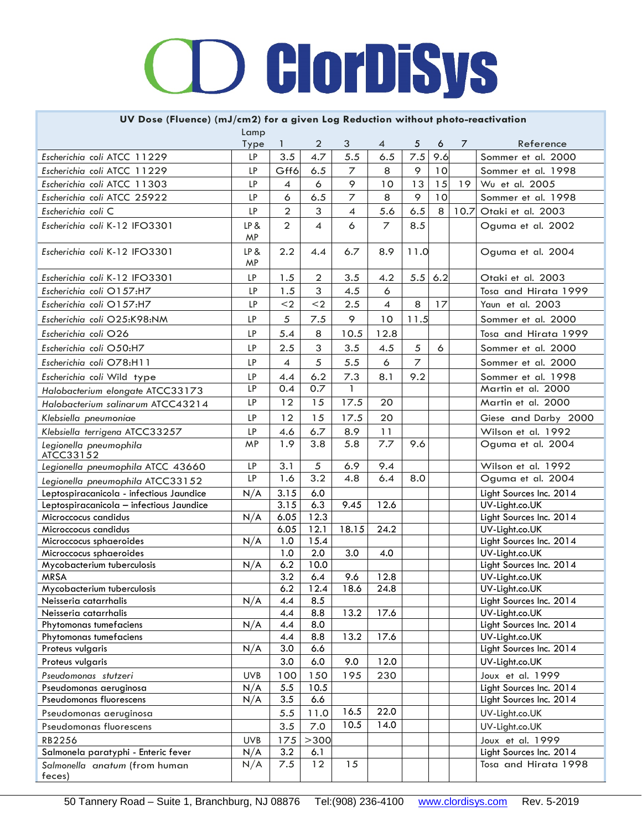# **D GlorDiSys**

#### **UV Dose (Fluence) (mJ/cm2) for a given Log Reduction without photo-reactivation**

|                                           | Lamp       |                  |                |                |                |                |     |    |                                           |
|-------------------------------------------|------------|------------------|----------------|----------------|----------------|----------------|-----|----|-------------------------------------------|
|                                           | Type       | 1                | $\overline{2}$ | 3              | 4              | 5              | 6   | 7  | Reference                                 |
| Escherichia coli ATCC 11229               | LP         | 3.5              | 4.7            | 5.5            | 6.5            | 7.5            | 9.6 |    | Sommer et al. 2000                        |
| Escherichia coli ATCC 11229               | LP         | Gff6             | 6.5            | $\overline{7}$ | 8              | 9              | 10  |    | Sommer et al. 1998                        |
| Escherichia coli ATCC 11303               | LP         | $\overline{4}$   | 6              | 9              | 10             | 13             | 15  | 19 | Wu et al. 2005                            |
| Escherichia coli ATCC 25922               | LP         | 6                | 6.5            | $\overline{z}$ | 8              | 9              | 10  |    | Sommer et al. 1998                        |
| Escherichia coli C                        | LP         | $\overline{2}$   | 3              | $\overline{4}$ | 5.6            | 6.5            | 8   |    | 10.7 Otaki et al. 2003                    |
| Escherichia coli K-12 IFO3301             | LP&<br>MP  | $\overline{2}$   | 4              | 6              | $\overline{7}$ | 8.5            |     |    | Oguma et al. 2002                         |
| Escherichia coli K-12 IFO3301             | LP &<br>MP | 2.2              | 4.4            | 6.7            | 8.9            | 11.0           |     |    | Oguma et al. 2004                         |
| Escherichia coli K-12 IFO3301             | LP         | 1.5              | $\overline{2}$ | 3.5            | 4.2            | 5.5            | 6.2 |    | Otaki et al. 2003                         |
| Escherichia coli O157:H7                  | LP         | 1.5              | 3              | 4.5            | 6              |                |     |    | Tosa and Hirata 1999                      |
| Escherichia coli O157:H7                  | LP         | $<$ 2            | $2$            | 2.5            | $\overline{4}$ | 8              | 17  |    | Yaun et al. 2003                          |
| Escherichia coli O25:K98:NM               | LP         | 5                | 7.5            | 9              | 10             | 11.5           |     |    | Sommer et al. 2000                        |
| Escherichia coli O26                      | LP         | 5.4              | 8              | 10.5           | 12.8           |                |     |    | Tosa and Hirata 1999                      |
| Escherichia coli O50:H7                   | LP         | 2.5              | 3              |                | 4.5            | 5              | 6   |    |                                           |
|                                           |            |                  |                | 3.5            |                |                |     |    | Sommer et al. 2000                        |
| Escherichia coli O78:H11                  | LP         | $\overline{A}$   | 5              | 5.5            | 6              | $\overline{z}$ |     |    | Sommer et al. 2000                        |
| Escherichia coli Wild type                | LP         | 4.4              | 6.2            | 7.3            | 8.1            | 9.2            |     |    | Sommer et al. 1998                        |
| Halobacterium elongate ATCC33173          | LP         | 0.4              | 0.7            | $\mathbf{1}$   |                |                |     |    | Martin et al. 2000                        |
| Halobacterium salinarum ATCC43214         | LP         | 12               | 15             | 17.5           | 20             |                |     |    | Martin et al. 2000                        |
| Klebsiella pneumoniae                     | LP         | 12               | 15             | 17.5           | 20             |                |     |    | Giese and Darby 2000                      |
| Klebsiella terrigena ATCC33257            | LP         | 4.6              | 6.7            | 8.9            | 11             |                |     |    | Wilson et al. 1992                        |
| Legionella pneumophila<br>ATCC33152       | MP         | 1.9              | 3.8            | 5.8            | 7.7            | 9.6            |     |    | Oguma et al. 2004                         |
| Legionella pneumophila ATCC 43660         | LP         | 3.1              | 5              | 6.9            | 9.4            |                |     |    | Wilson et al. 1992                        |
| Legionella pneumophila ATCC33152          | LP         | 1.6              | 3.2            | 4.8            | 6.4            | 8.0            |     |    | Oguma et al. 2004                         |
| Leptospiracanicola - infectious Jaundice  | N/A        | 3.15             | 6.0            |                |                |                |     |    | Light Sources Inc. 2014                   |
| Leptospiracanicola - infectious Jaundice  |            | 3.15             | 6.3            | 9.45           | 12.6           |                |     |    | UV-Light.co.UK                            |
| Microccocus candidus                      | N/A        | 6.05             | 12.3           |                |                |                |     |    | Light Sources Inc. 2014                   |
| Microccocus candidus                      |            | 6.05             | 12.1           | 18.15          | 24.2           |                |     |    | UV-Light.co.UK                            |
| Microccocus sphaeroides                   | N/A        | 1.0              | 15.4           |                |                |                |     |    | Light Sources Inc. 2014                   |
| Microccocus sphaeroides                   |            | 1.0              | 2.0            | 3.0            | 4.0            |                |     |    | UV-Light.co.UK                            |
| Mycobacterium tuberculosis<br><b>MRSA</b> | N/A        | 6.2<br>3.2       | 10.0           |                | 12.8           |                |     |    | Light Sources Inc. 2014<br>UV-Light.co.UK |
| Mycobacterium tuberculosis                |            | 6.2              | 6.4<br>12.4    | 9.6<br>18.6    | 24.8           |                |     |    | UV-Light.co.UK                            |
| Neisseria catarrhalis                     | N/A        | 4.4              | 8.5            |                |                |                |     |    | Light Sources Inc. 2014                   |
| Neisseria catarrhalis                     |            | 4.4              | 8.8            | 13.2           | 17.6           |                |     |    | UV-Light.co.UK                            |
| Phytomonas tumefaciens                    | N/A        | 4.4              | 8.0            |                |                |                |     |    | Light Sources Inc. 2014                   |
| Phytomonas tumefaciens                    |            | 4.4              | 8.8            | 13.2           | 17.6           |                |     |    | UV-Light.co.UK                            |
| Proteus vulgaris                          | N/A        | 3.0              | 6.6            |                |                |                |     |    | Light Sources Inc. 2014                   |
| Proteus vulgaris                          |            | 3.0              | 6.0            | 9.0            | 12.0           |                |     |    | UV-Light.co.UK                            |
| Pseudomonas stutzeri                      | <b>UVB</b> | 100              | 150            | 195            | 230            |                |     |    | Joux et al. 1999                          |
| Pseudomonas aeruginosa                    | N/A        | 5.5              | 10.5           |                |                |                |     |    | Light Sources Inc. 2014                   |
| Pseudomonas fluorescens                   | N/A        | $3.\overline{5}$ | 6.6            |                |                |                |     |    | Light Sources Inc. 2014                   |
| Pseudomonas aeruginosa                    |            | 5.5              | 11.0           | 16.5           | 22.0           |                |     |    | UV-Light.co.UK                            |
| Pseudomonas fluorescens                   |            | 3.5              | 7.0            | 10.5           | 14.0           |                |     |    | UV-Light.co.UK                            |
| RB2256                                    | <b>UVB</b> | 175              | >300           |                |                |                |     |    | Joux et al. 1999                          |
| Salmonela paratyphi - Enteric fever       | N/A        | 3.2              | 6.1            |                |                |                |     |    | Light Sources Inc. 2014                   |
| Salmonella anatum (from human             | N/A        | 7.5              | 12             | 15             |                |                |     |    | Tosa and Hirata 1998                      |
| feces)                                    |            |                  |                |                |                |                |     |    |                                           |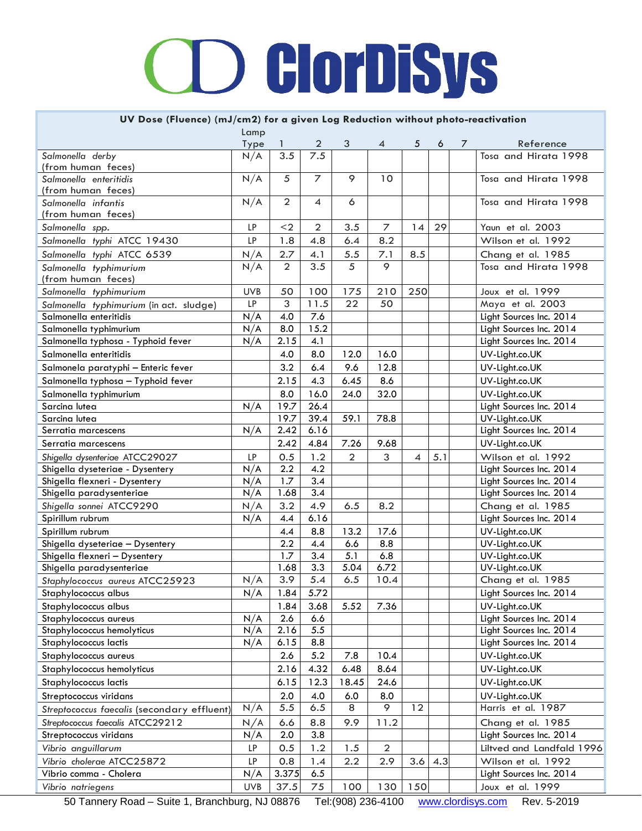#### **UV Dose (Fluence) (mJ/cm2) for a given Log Reduction without photo-reactivation**

| 2<br>3<br>7<br>Reference<br>4<br>5<br>6<br>$\overline{3.5}$<br>7.5<br>Tosa and Hirata 1998<br>Salmonella derby<br>N/A<br>(from human feces)<br>N/A<br>9<br>5<br>7<br>10<br>Tosa and Hirata 1998<br>Salmonella enteritidis<br>(from human feces)<br>N/A<br>$\overline{2}$<br>6<br>Tosa and Hirata 1998<br>4<br>Salmonella infantis<br>(from human feces)<br>$\overline{2}$<br>$\overline{z}$<br>29<br>LP<br>$2$<br>3.5<br>14<br>Yaun et al. 2003<br>Salmonella spp.<br>LP<br>1.8<br>4.8<br>8.2<br>Salmonella typhi ATCC 19430<br>6.4<br>Wilson et al. 1992<br>2.7<br>7.1<br>5.5<br>Salmonella typhi ATCC 6539<br>N/A<br>4.1<br>8.5<br>Chang et al. 1985<br>3.5<br>5<br>$\overline{2}$<br>9<br>Tosa and Hirata 1998<br>N/A<br>Salmonella typhimurium<br>(from human feces)<br>50<br>210<br>250<br>Salmonella typhimurium<br><b>UVB</b><br>100<br>175<br>Joux et al. 1999<br>3<br>11.5<br>22<br>LP<br>50<br>Maya et al. 2003<br>Salmonella typhimurium (in act. sludge)<br>Salmonella enteritidis<br>N/A<br>4.0<br>7.6<br>Light Sources Inc. 2014<br>15.2<br>8.0<br>Salmonella typhimurium<br>N/A<br>Light Sources Inc. 2014<br>2.15<br>Salmonella typhosa - Typhoid fever<br>N/A<br>4.1<br>Light Sources Inc. 2014<br>8.0<br>Salmonella enteritidis<br>4.0<br>12.0<br>16.0<br>UV-Light.co.UK<br>3.2<br>6.4<br>9.6<br>12.8<br>Salmonela paratyphi - Enteric fever<br>UV-Light.co.UK<br>2.15<br>4.3<br>6.45<br>8.6<br>Salmonella typhosa - Typhoid fever<br>UV-Light.co.UK<br>8.0<br>16.0<br>24.0<br>32.0<br>Salmonella typhimurium<br>UV-Light.co.UK<br>19.7<br>26.4<br>Light Sources Inc. 2014<br>Sarcina lutea<br>N/A<br>19.7<br>39.4<br>59.1<br>78.8<br>Sarcina lutea<br>UV-Light.co.UK<br>2.42<br>6.16<br>Light Sources Inc. 2014<br>N/A<br>Serratia marcescens<br>2.42<br>4.84<br>7.26<br>9.68<br>UV-Light.co.UK<br>Serratia marcescens<br>1.2<br>$\overline{2}$<br>0.5<br>3<br>5.1<br>LP<br>4<br>Wilson et al. 1992<br>Shigella dysenteriae ATCC29027<br>2.2<br>4.2<br>Light Sources Inc. 2014<br>Shigella dyseteriae - Dysentery<br>N/A<br>1.7<br>3.4<br>N/A<br>Shigella flexneri - Dysentery<br>Light Sources Inc. 2014<br>3.4<br>N/A<br>1.68<br>Light Sources Inc. 2014<br>Shigella paradysenteriae<br>3.2<br>4.9<br>Shigella sonnei ATCC9290<br>N/A<br>6.5<br>8.2<br>Chang et al. 1985<br>4.4<br>6.16<br>Spirillum rubrum<br>N/A<br>Light Sources Inc. 2014<br>8.8<br>4.4<br>13.2<br>UV-Light.co.UK<br>Spirillum rubrum<br>17.6<br>2.2<br>4.4<br>8.8<br>6.6<br>UV-Light.co.UK<br>Shigella dyseteriae - Dysentery<br>1.7<br>3.4<br>5.1<br>6.8<br>UV-Light.co.UK<br>Shigella flexneri - Dysentery<br>$\overline{3.3}$<br>6.72<br>1.68<br>5.04<br>UV-Light.co.UK<br>Shigella paradysenteriae<br>3.9<br>5.4<br>6.5<br>Chang et al. 1985<br>N/A<br>10.4<br>Staphylococcus aureus ATCC25923<br>N/A<br>1.84<br>5.72<br>Light Sources Inc. 2014<br>Staphylococcus albus<br>1.84<br>3.68<br>5.52<br>Staphylococcus albus<br>7.36<br>UV-Light.co.UK<br>Light Sources Inc. 2014<br>N/A<br>2.6<br>6.6<br>Staphylococcus aureus<br>2.16<br>5.5<br>Staphylococcus hemolyticus<br>N/A<br>Light Sources Inc. 2014<br>6.15<br>8.8<br>N/A<br>Light Sources Inc. 2014<br>Staphylococcus lactis<br>5.2<br>2.6<br>7.8<br>10.4<br>UV-Light.co.UK<br>Staphylococcus aureus<br>4.32<br>8.64<br>2.16<br>6.48<br>UV-Light.co.UK<br>Staphylococcus hemolyticus<br>24.6<br>6.15<br>12.3<br>18.45<br>UV-Light.co.UK<br>Staphylococcus lactis<br>Streptococcus viridans<br>2.0<br>4.0<br>6.0<br>8.0<br>UV-Light.co.UK<br>8<br>9<br>12<br>N/A<br>5.5<br>6.5<br>Harris et al. 1987<br>Streptococcus faecalis (secondary effluent)<br>Streptococcus faecalis ATCC29212<br>9.9<br>11.2<br>6.6<br>8.8<br>Chang et al. 1985<br>N/A<br>2.0<br>3.8<br>Light Sources Inc. 2014<br>Streptococcus viridans<br>N/A<br>Vibrio anguillarum<br>0.5<br>Liltved and Landfald 1996<br>LP<br>1.2<br>1.5<br>2<br>Vibrio cholerae ATCC25872<br>0.8<br>2.2<br>2.9<br>3.6<br>4.3<br>LP<br>1.4<br>Wilson et al. 1992<br>N/A<br>3.375<br>Vibrio comma - Cholera<br>6.5<br>Light Sources Inc. 2014<br>37.5<br>150<br><b>UVB</b><br>75<br>100<br>130<br>Joux et al. 1999<br>Vibrio natriegens | Lamp |  |  |  |  |
|---------------------------------------------------------------------------------------------------------------------------------------------------------------------------------------------------------------------------------------------------------------------------------------------------------------------------------------------------------------------------------------------------------------------------------------------------------------------------------------------------------------------------------------------------------------------------------------------------------------------------------------------------------------------------------------------------------------------------------------------------------------------------------------------------------------------------------------------------------------------------------------------------------------------------------------------------------------------------------------------------------------------------------------------------------------------------------------------------------------------------------------------------------------------------------------------------------------------------------------------------------------------------------------------------------------------------------------------------------------------------------------------------------------------------------------------------------------------------------------------------------------------------------------------------------------------------------------------------------------------------------------------------------------------------------------------------------------------------------------------------------------------------------------------------------------------------------------------------------------------------------------------------------------------------------------------------------------------------------------------------------------------------------------------------------------------------------------------------------------------------------------------------------------------------------------------------------------------------------------------------------------------------------------------------------------------------------------------------------------------------------------------------------------------------------------------------------------------------------------------------------------------------------------------------------------------------------------------------------------------------------------------------------------------------------------------------------------------------------------------------------------------------------------------------------------------------------------------------------------------------------------------------------------------------------------------------------------------------------------------------------------------------------------------------------------------------------------------------------------------------------------------------------------------------------------------------------------------------------------------------------------------------------------------------------------------------------------------------------------------------------------------------------------------------------------------------------------------------------------------------------------------------------------------------------------------------------------------------------------------------------------------------------------------------------------------------------------------------------------------------------------------------------------------------------------------------------------------------------------------------------------------------------------------------------------------------------------------------------------------------------------------------------------------------------------------------------------------------------------------------------------------|------|--|--|--|--|
|                                                                                                                                                                                                                                                                                                                                                                                                                                                                                                                                                                                                                                                                                                                                                                                                                                                                                                                                                                                                                                                                                                                                                                                                                                                                                                                                                                                                                                                                                                                                                                                                                                                                                                                                                                                                                                                                                                                                                                                                                                                                                                                                                                                                                                                                                                                                                                                                                                                                                                                                                                                                                                                                                                                                                                                                                                                                                                                                                                                                                                                                                                                                                                                                                                                                                                                                                                                                                                                                                                                                                                                                                                                                                                                                                                                                                                                                                                                                                                                                                                                                                                                                             | Type |  |  |  |  |
|                                                                                                                                                                                                                                                                                                                                                                                                                                                                                                                                                                                                                                                                                                                                                                                                                                                                                                                                                                                                                                                                                                                                                                                                                                                                                                                                                                                                                                                                                                                                                                                                                                                                                                                                                                                                                                                                                                                                                                                                                                                                                                                                                                                                                                                                                                                                                                                                                                                                                                                                                                                                                                                                                                                                                                                                                                                                                                                                                                                                                                                                                                                                                                                                                                                                                                                                                                                                                                                                                                                                                                                                                                                                                                                                                                                                                                                                                                                                                                                                                                                                                                                                             |      |  |  |  |  |
|                                                                                                                                                                                                                                                                                                                                                                                                                                                                                                                                                                                                                                                                                                                                                                                                                                                                                                                                                                                                                                                                                                                                                                                                                                                                                                                                                                                                                                                                                                                                                                                                                                                                                                                                                                                                                                                                                                                                                                                                                                                                                                                                                                                                                                                                                                                                                                                                                                                                                                                                                                                                                                                                                                                                                                                                                                                                                                                                                                                                                                                                                                                                                                                                                                                                                                                                                                                                                                                                                                                                                                                                                                                                                                                                                                                                                                                                                                                                                                                                                                                                                                                                             |      |  |  |  |  |
|                                                                                                                                                                                                                                                                                                                                                                                                                                                                                                                                                                                                                                                                                                                                                                                                                                                                                                                                                                                                                                                                                                                                                                                                                                                                                                                                                                                                                                                                                                                                                                                                                                                                                                                                                                                                                                                                                                                                                                                                                                                                                                                                                                                                                                                                                                                                                                                                                                                                                                                                                                                                                                                                                                                                                                                                                                                                                                                                                                                                                                                                                                                                                                                                                                                                                                                                                                                                                                                                                                                                                                                                                                                                                                                                                                                                                                                                                                                                                                                                                                                                                                                                             |      |  |  |  |  |
|                                                                                                                                                                                                                                                                                                                                                                                                                                                                                                                                                                                                                                                                                                                                                                                                                                                                                                                                                                                                                                                                                                                                                                                                                                                                                                                                                                                                                                                                                                                                                                                                                                                                                                                                                                                                                                                                                                                                                                                                                                                                                                                                                                                                                                                                                                                                                                                                                                                                                                                                                                                                                                                                                                                                                                                                                                                                                                                                                                                                                                                                                                                                                                                                                                                                                                                                                                                                                                                                                                                                                                                                                                                                                                                                                                                                                                                                                                                                                                                                                                                                                                                                             |      |  |  |  |  |
|                                                                                                                                                                                                                                                                                                                                                                                                                                                                                                                                                                                                                                                                                                                                                                                                                                                                                                                                                                                                                                                                                                                                                                                                                                                                                                                                                                                                                                                                                                                                                                                                                                                                                                                                                                                                                                                                                                                                                                                                                                                                                                                                                                                                                                                                                                                                                                                                                                                                                                                                                                                                                                                                                                                                                                                                                                                                                                                                                                                                                                                                                                                                                                                                                                                                                                                                                                                                                                                                                                                                                                                                                                                                                                                                                                                                                                                                                                                                                                                                                                                                                                                                             |      |  |  |  |  |
|                                                                                                                                                                                                                                                                                                                                                                                                                                                                                                                                                                                                                                                                                                                                                                                                                                                                                                                                                                                                                                                                                                                                                                                                                                                                                                                                                                                                                                                                                                                                                                                                                                                                                                                                                                                                                                                                                                                                                                                                                                                                                                                                                                                                                                                                                                                                                                                                                                                                                                                                                                                                                                                                                                                                                                                                                                                                                                                                                                                                                                                                                                                                                                                                                                                                                                                                                                                                                                                                                                                                                                                                                                                                                                                                                                                                                                                                                                                                                                                                                                                                                                                                             |      |  |  |  |  |
|                                                                                                                                                                                                                                                                                                                                                                                                                                                                                                                                                                                                                                                                                                                                                                                                                                                                                                                                                                                                                                                                                                                                                                                                                                                                                                                                                                                                                                                                                                                                                                                                                                                                                                                                                                                                                                                                                                                                                                                                                                                                                                                                                                                                                                                                                                                                                                                                                                                                                                                                                                                                                                                                                                                                                                                                                                                                                                                                                                                                                                                                                                                                                                                                                                                                                                                                                                                                                                                                                                                                                                                                                                                                                                                                                                                                                                                                                                                                                                                                                                                                                                                                             |      |  |  |  |  |
|                                                                                                                                                                                                                                                                                                                                                                                                                                                                                                                                                                                                                                                                                                                                                                                                                                                                                                                                                                                                                                                                                                                                                                                                                                                                                                                                                                                                                                                                                                                                                                                                                                                                                                                                                                                                                                                                                                                                                                                                                                                                                                                                                                                                                                                                                                                                                                                                                                                                                                                                                                                                                                                                                                                                                                                                                                                                                                                                                                                                                                                                                                                                                                                                                                                                                                                                                                                                                                                                                                                                                                                                                                                                                                                                                                                                                                                                                                                                                                                                                                                                                                                                             |      |  |  |  |  |
|                                                                                                                                                                                                                                                                                                                                                                                                                                                                                                                                                                                                                                                                                                                                                                                                                                                                                                                                                                                                                                                                                                                                                                                                                                                                                                                                                                                                                                                                                                                                                                                                                                                                                                                                                                                                                                                                                                                                                                                                                                                                                                                                                                                                                                                                                                                                                                                                                                                                                                                                                                                                                                                                                                                                                                                                                                                                                                                                                                                                                                                                                                                                                                                                                                                                                                                                                                                                                                                                                                                                                                                                                                                                                                                                                                                                                                                                                                                                                                                                                                                                                                                                             |      |  |  |  |  |
|                                                                                                                                                                                                                                                                                                                                                                                                                                                                                                                                                                                                                                                                                                                                                                                                                                                                                                                                                                                                                                                                                                                                                                                                                                                                                                                                                                                                                                                                                                                                                                                                                                                                                                                                                                                                                                                                                                                                                                                                                                                                                                                                                                                                                                                                                                                                                                                                                                                                                                                                                                                                                                                                                                                                                                                                                                                                                                                                                                                                                                                                                                                                                                                                                                                                                                                                                                                                                                                                                                                                                                                                                                                                                                                                                                                                                                                                                                                                                                                                                                                                                                                                             |      |  |  |  |  |
|                                                                                                                                                                                                                                                                                                                                                                                                                                                                                                                                                                                                                                                                                                                                                                                                                                                                                                                                                                                                                                                                                                                                                                                                                                                                                                                                                                                                                                                                                                                                                                                                                                                                                                                                                                                                                                                                                                                                                                                                                                                                                                                                                                                                                                                                                                                                                                                                                                                                                                                                                                                                                                                                                                                                                                                                                                                                                                                                                                                                                                                                                                                                                                                                                                                                                                                                                                                                                                                                                                                                                                                                                                                                                                                                                                                                                                                                                                                                                                                                                                                                                                                                             |      |  |  |  |  |
|                                                                                                                                                                                                                                                                                                                                                                                                                                                                                                                                                                                                                                                                                                                                                                                                                                                                                                                                                                                                                                                                                                                                                                                                                                                                                                                                                                                                                                                                                                                                                                                                                                                                                                                                                                                                                                                                                                                                                                                                                                                                                                                                                                                                                                                                                                                                                                                                                                                                                                                                                                                                                                                                                                                                                                                                                                                                                                                                                                                                                                                                                                                                                                                                                                                                                                                                                                                                                                                                                                                                                                                                                                                                                                                                                                                                                                                                                                                                                                                                                                                                                                                                             |      |  |  |  |  |
|                                                                                                                                                                                                                                                                                                                                                                                                                                                                                                                                                                                                                                                                                                                                                                                                                                                                                                                                                                                                                                                                                                                                                                                                                                                                                                                                                                                                                                                                                                                                                                                                                                                                                                                                                                                                                                                                                                                                                                                                                                                                                                                                                                                                                                                                                                                                                                                                                                                                                                                                                                                                                                                                                                                                                                                                                                                                                                                                                                                                                                                                                                                                                                                                                                                                                                                                                                                                                                                                                                                                                                                                                                                                                                                                                                                                                                                                                                                                                                                                                                                                                                                                             |      |  |  |  |  |
|                                                                                                                                                                                                                                                                                                                                                                                                                                                                                                                                                                                                                                                                                                                                                                                                                                                                                                                                                                                                                                                                                                                                                                                                                                                                                                                                                                                                                                                                                                                                                                                                                                                                                                                                                                                                                                                                                                                                                                                                                                                                                                                                                                                                                                                                                                                                                                                                                                                                                                                                                                                                                                                                                                                                                                                                                                                                                                                                                                                                                                                                                                                                                                                                                                                                                                                                                                                                                                                                                                                                                                                                                                                                                                                                                                                                                                                                                                                                                                                                                                                                                                                                             |      |  |  |  |  |
|                                                                                                                                                                                                                                                                                                                                                                                                                                                                                                                                                                                                                                                                                                                                                                                                                                                                                                                                                                                                                                                                                                                                                                                                                                                                                                                                                                                                                                                                                                                                                                                                                                                                                                                                                                                                                                                                                                                                                                                                                                                                                                                                                                                                                                                                                                                                                                                                                                                                                                                                                                                                                                                                                                                                                                                                                                                                                                                                                                                                                                                                                                                                                                                                                                                                                                                                                                                                                                                                                                                                                                                                                                                                                                                                                                                                                                                                                                                                                                                                                                                                                                                                             |      |  |  |  |  |
|                                                                                                                                                                                                                                                                                                                                                                                                                                                                                                                                                                                                                                                                                                                                                                                                                                                                                                                                                                                                                                                                                                                                                                                                                                                                                                                                                                                                                                                                                                                                                                                                                                                                                                                                                                                                                                                                                                                                                                                                                                                                                                                                                                                                                                                                                                                                                                                                                                                                                                                                                                                                                                                                                                                                                                                                                                                                                                                                                                                                                                                                                                                                                                                                                                                                                                                                                                                                                                                                                                                                                                                                                                                                                                                                                                                                                                                                                                                                                                                                                                                                                                                                             |      |  |  |  |  |
|                                                                                                                                                                                                                                                                                                                                                                                                                                                                                                                                                                                                                                                                                                                                                                                                                                                                                                                                                                                                                                                                                                                                                                                                                                                                                                                                                                                                                                                                                                                                                                                                                                                                                                                                                                                                                                                                                                                                                                                                                                                                                                                                                                                                                                                                                                                                                                                                                                                                                                                                                                                                                                                                                                                                                                                                                                                                                                                                                                                                                                                                                                                                                                                                                                                                                                                                                                                                                                                                                                                                                                                                                                                                                                                                                                                                                                                                                                                                                                                                                                                                                                                                             |      |  |  |  |  |
|                                                                                                                                                                                                                                                                                                                                                                                                                                                                                                                                                                                                                                                                                                                                                                                                                                                                                                                                                                                                                                                                                                                                                                                                                                                                                                                                                                                                                                                                                                                                                                                                                                                                                                                                                                                                                                                                                                                                                                                                                                                                                                                                                                                                                                                                                                                                                                                                                                                                                                                                                                                                                                                                                                                                                                                                                                                                                                                                                                                                                                                                                                                                                                                                                                                                                                                                                                                                                                                                                                                                                                                                                                                                                                                                                                                                                                                                                                                                                                                                                                                                                                                                             |      |  |  |  |  |
|                                                                                                                                                                                                                                                                                                                                                                                                                                                                                                                                                                                                                                                                                                                                                                                                                                                                                                                                                                                                                                                                                                                                                                                                                                                                                                                                                                                                                                                                                                                                                                                                                                                                                                                                                                                                                                                                                                                                                                                                                                                                                                                                                                                                                                                                                                                                                                                                                                                                                                                                                                                                                                                                                                                                                                                                                                                                                                                                                                                                                                                                                                                                                                                                                                                                                                                                                                                                                                                                                                                                                                                                                                                                                                                                                                                                                                                                                                                                                                                                                                                                                                                                             |      |  |  |  |  |
|                                                                                                                                                                                                                                                                                                                                                                                                                                                                                                                                                                                                                                                                                                                                                                                                                                                                                                                                                                                                                                                                                                                                                                                                                                                                                                                                                                                                                                                                                                                                                                                                                                                                                                                                                                                                                                                                                                                                                                                                                                                                                                                                                                                                                                                                                                                                                                                                                                                                                                                                                                                                                                                                                                                                                                                                                                                                                                                                                                                                                                                                                                                                                                                                                                                                                                                                                                                                                                                                                                                                                                                                                                                                                                                                                                                                                                                                                                                                                                                                                                                                                                                                             |      |  |  |  |  |
|                                                                                                                                                                                                                                                                                                                                                                                                                                                                                                                                                                                                                                                                                                                                                                                                                                                                                                                                                                                                                                                                                                                                                                                                                                                                                                                                                                                                                                                                                                                                                                                                                                                                                                                                                                                                                                                                                                                                                                                                                                                                                                                                                                                                                                                                                                                                                                                                                                                                                                                                                                                                                                                                                                                                                                                                                                                                                                                                                                                                                                                                                                                                                                                                                                                                                                                                                                                                                                                                                                                                                                                                                                                                                                                                                                                                                                                                                                                                                                                                                                                                                                                                             |      |  |  |  |  |
|                                                                                                                                                                                                                                                                                                                                                                                                                                                                                                                                                                                                                                                                                                                                                                                                                                                                                                                                                                                                                                                                                                                                                                                                                                                                                                                                                                                                                                                                                                                                                                                                                                                                                                                                                                                                                                                                                                                                                                                                                                                                                                                                                                                                                                                                                                                                                                                                                                                                                                                                                                                                                                                                                                                                                                                                                                                                                                                                                                                                                                                                                                                                                                                                                                                                                                                                                                                                                                                                                                                                                                                                                                                                                                                                                                                                                                                                                                                                                                                                                                                                                                                                             |      |  |  |  |  |
|                                                                                                                                                                                                                                                                                                                                                                                                                                                                                                                                                                                                                                                                                                                                                                                                                                                                                                                                                                                                                                                                                                                                                                                                                                                                                                                                                                                                                                                                                                                                                                                                                                                                                                                                                                                                                                                                                                                                                                                                                                                                                                                                                                                                                                                                                                                                                                                                                                                                                                                                                                                                                                                                                                                                                                                                                                                                                                                                                                                                                                                                                                                                                                                                                                                                                                                                                                                                                                                                                                                                                                                                                                                                                                                                                                                                                                                                                                                                                                                                                                                                                                                                             |      |  |  |  |  |
|                                                                                                                                                                                                                                                                                                                                                                                                                                                                                                                                                                                                                                                                                                                                                                                                                                                                                                                                                                                                                                                                                                                                                                                                                                                                                                                                                                                                                                                                                                                                                                                                                                                                                                                                                                                                                                                                                                                                                                                                                                                                                                                                                                                                                                                                                                                                                                                                                                                                                                                                                                                                                                                                                                                                                                                                                                                                                                                                                                                                                                                                                                                                                                                                                                                                                                                                                                                                                                                                                                                                                                                                                                                                                                                                                                                                                                                                                                                                                                                                                                                                                                                                             |      |  |  |  |  |
|                                                                                                                                                                                                                                                                                                                                                                                                                                                                                                                                                                                                                                                                                                                                                                                                                                                                                                                                                                                                                                                                                                                                                                                                                                                                                                                                                                                                                                                                                                                                                                                                                                                                                                                                                                                                                                                                                                                                                                                                                                                                                                                                                                                                                                                                                                                                                                                                                                                                                                                                                                                                                                                                                                                                                                                                                                                                                                                                                                                                                                                                                                                                                                                                                                                                                                                                                                                                                                                                                                                                                                                                                                                                                                                                                                                                                                                                                                                                                                                                                                                                                                                                             |      |  |  |  |  |
|                                                                                                                                                                                                                                                                                                                                                                                                                                                                                                                                                                                                                                                                                                                                                                                                                                                                                                                                                                                                                                                                                                                                                                                                                                                                                                                                                                                                                                                                                                                                                                                                                                                                                                                                                                                                                                                                                                                                                                                                                                                                                                                                                                                                                                                                                                                                                                                                                                                                                                                                                                                                                                                                                                                                                                                                                                                                                                                                                                                                                                                                                                                                                                                                                                                                                                                                                                                                                                                                                                                                                                                                                                                                                                                                                                                                                                                                                                                                                                                                                                                                                                                                             |      |  |  |  |  |
|                                                                                                                                                                                                                                                                                                                                                                                                                                                                                                                                                                                                                                                                                                                                                                                                                                                                                                                                                                                                                                                                                                                                                                                                                                                                                                                                                                                                                                                                                                                                                                                                                                                                                                                                                                                                                                                                                                                                                                                                                                                                                                                                                                                                                                                                                                                                                                                                                                                                                                                                                                                                                                                                                                                                                                                                                                                                                                                                                                                                                                                                                                                                                                                                                                                                                                                                                                                                                                                                                                                                                                                                                                                                                                                                                                                                                                                                                                                                                                                                                                                                                                                                             |      |  |  |  |  |
|                                                                                                                                                                                                                                                                                                                                                                                                                                                                                                                                                                                                                                                                                                                                                                                                                                                                                                                                                                                                                                                                                                                                                                                                                                                                                                                                                                                                                                                                                                                                                                                                                                                                                                                                                                                                                                                                                                                                                                                                                                                                                                                                                                                                                                                                                                                                                                                                                                                                                                                                                                                                                                                                                                                                                                                                                                                                                                                                                                                                                                                                                                                                                                                                                                                                                                                                                                                                                                                                                                                                                                                                                                                                                                                                                                                                                                                                                                                                                                                                                                                                                                                                             |      |  |  |  |  |
|                                                                                                                                                                                                                                                                                                                                                                                                                                                                                                                                                                                                                                                                                                                                                                                                                                                                                                                                                                                                                                                                                                                                                                                                                                                                                                                                                                                                                                                                                                                                                                                                                                                                                                                                                                                                                                                                                                                                                                                                                                                                                                                                                                                                                                                                                                                                                                                                                                                                                                                                                                                                                                                                                                                                                                                                                                                                                                                                                                                                                                                                                                                                                                                                                                                                                                                                                                                                                                                                                                                                                                                                                                                                                                                                                                                                                                                                                                                                                                                                                                                                                                                                             |      |  |  |  |  |
|                                                                                                                                                                                                                                                                                                                                                                                                                                                                                                                                                                                                                                                                                                                                                                                                                                                                                                                                                                                                                                                                                                                                                                                                                                                                                                                                                                                                                                                                                                                                                                                                                                                                                                                                                                                                                                                                                                                                                                                                                                                                                                                                                                                                                                                                                                                                                                                                                                                                                                                                                                                                                                                                                                                                                                                                                                                                                                                                                                                                                                                                                                                                                                                                                                                                                                                                                                                                                                                                                                                                                                                                                                                                                                                                                                                                                                                                                                                                                                                                                                                                                                                                             |      |  |  |  |  |
|                                                                                                                                                                                                                                                                                                                                                                                                                                                                                                                                                                                                                                                                                                                                                                                                                                                                                                                                                                                                                                                                                                                                                                                                                                                                                                                                                                                                                                                                                                                                                                                                                                                                                                                                                                                                                                                                                                                                                                                                                                                                                                                                                                                                                                                                                                                                                                                                                                                                                                                                                                                                                                                                                                                                                                                                                                                                                                                                                                                                                                                                                                                                                                                                                                                                                                                                                                                                                                                                                                                                                                                                                                                                                                                                                                                                                                                                                                                                                                                                                                                                                                                                             |      |  |  |  |  |
|                                                                                                                                                                                                                                                                                                                                                                                                                                                                                                                                                                                                                                                                                                                                                                                                                                                                                                                                                                                                                                                                                                                                                                                                                                                                                                                                                                                                                                                                                                                                                                                                                                                                                                                                                                                                                                                                                                                                                                                                                                                                                                                                                                                                                                                                                                                                                                                                                                                                                                                                                                                                                                                                                                                                                                                                                                                                                                                                                                                                                                                                                                                                                                                                                                                                                                                                                                                                                                                                                                                                                                                                                                                                                                                                                                                                                                                                                                                                                                                                                                                                                                                                             |      |  |  |  |  |
|                                                                                                                                                                                                                                                                                                                                                                                                                                                                                                                                                                                                                                                                                                                                                                                                                                                                                                                                                                                                                                                                                                                                                                                                                                                                                                                                                                                                                                                                                                                                                                                                                                                                                                                                                                                                                                                                                                                                                                                                                                                                                                                                                                                                                                                                                                                                                                                                                                                                                                                                                                                                                                                                                                                                                                                                                                                                                                                                                                                                                                                                                                                                                                                                                                                                                                                                                                                                                                                                                                                                                                                                                                                                                                                                                                                                                                                                                                                                                                                                                                                                                                                                             |      |  |  |  |  |
|                                                                                                                                                                                                                                                                                                                                                                                                                                                                                                                                                                                                                                                                                                                                                                                                                                                                                                                                                                                                                                                                                                                                                                                                                                                                                                                                                                                                                                                                                                                                                                                                                                                                                                                                                                                                                                                                                                                                                                                                                                                                                                                                                                                                                                                                                                                                                                                                                                                                                                                                                                                                                                                                                                                                                                                                                                                                                                                                                                                                                                                                                                                                                                                                                                                                                                                                                                                                                                                                                                                                                                                                                                                                                                                                                                                                                                                                                                                                                                                                                                                                                                                                             |      |  |  |  |  |
|                                                                                                                                                                                                                                                                                                                                                                                                                                                                                                                                                                                                                                                                                                                                                                                                                                                                                                                                                                                                                                                                                                                                                                                                                                                                                                                                                                                                                                                                                                                                                                                                                                                                                                                                                                                                                                                                                                                                                                                                                                                                                                                                                                                                                                                                                                                                                                                                                                                                                                                                                                                                                                                                                                                                                                                                                                                                                                                                                                                                                                                                                                                                                                                                                                                                                                                                                                                                                                                                                                                                                                                                                                                                                                                                                                                                                                                                                                                                                                                                                                                                                                                                             |      |  |  |  |  |
|                                                                                                                                                                                                                                                                                                                                                                                                                                                                                                                                                                                                                                                                                                                                                                                                                                                                                                                                                                                                                                                                                                                                                                                                                                                                                                                                                                                                                                                                                                                                                                                                                                                                                                                                                                                                                                                                                                                                                                                                                                                                                                                                                                                                                                                                                                                                                                                                                                                                                                                                                                                                                                                                                                                                                                                                                                                                                                                                                                                                                                                                                                                                                                                                                                                                                                                                                                                                                                                                                                                                                                                                                                                                                                                                                                                                                                                                                                                                                                                                                                                                                                                                             |      |  |  |  |  |
|                                                                                                                                                                                                                                                                                                                                                                                                                                                                                                                                                                                                                                                                                                                                                                                                                                                                                                                                                                                                                                                                                                                                                                                                                                                                                                                                                                                                                                                                                                                                                                                                                                                                                                                                                                                                                                                                                                                                                                                                                                                                                                                                                                                                                                                                                                                                                                                                                                                                                                                                                                                                                                                                                                                                                                                                                                                                                                                                                                                                                                                                                                                                                                                                                                                                                                                                                                                                                                                                                                                                                                                                                                                                                                                                                                                                                                                                                                                                                                                                                                                                                                                                             |      |  |  |  |  |
|                                                                                                                                                                                                                                                                                                                                                                                                                                                                                                                                                                                                                                                                                                                                                                                                                                                                                                                                                                                                                                                                                                                                                                                                                                                                                                                                                                                                                                                                                                                                                                                                                                                                                                                                                                                                                                                                                                                                                                                                                                                                                                                                                                                                                                                                                                                                                                                                                                                                                                                                                                                                                                                                                                                                                                                                                                                                                                                                                                                                                                                                                                                                                                                                                                                                                                                                                                                                                                                                                                                                                                                                                                                                                                                                                                                                                                                                                                                                                                                                                                                                                                                                             |      |  |  |  |  |
|                                                                                                                                                                                                                                                                                                                                                                                                                                                                                                                                                                                                                                                                                                                                                                                                                                                                                                                                                                                                                                                                                                                                                                                                                                                                                                                                                                                                                                                                                                                                                                                                                                                                                                                                                                                                                                                                                                                                                                                                                                                                                                                                                                                                                                                                                                                                                                                                                                                                                                                                                                                                                                                                                                                                                                                                                                                                                                                                                                                                                                                                                                                                                                                                                                                                                                                                                                                                                                                                                                                                                                                                                                                                                                                                                                                                                                                                                                                                                                                                                                                                                                                                             |      |  |  |  |  |
|                                                                                                                                                                                                                                                                                                                                                                                                                                                                                                                                                                                                                                                                                                                                                                                                                                                                                                                                                                                                                                                                                                                                                                                                                                                                                                                                                                                                                                                                                                                                                                                                                                                                                                                                                                                                                                                                                                                                                                                                                                                                                                                                                                                                                                                                                                                                                                                                                                                                                                                                                                                                                                                                                                                                                                                                                                                                                                                                                                                                                                                                                                                                                                                                                                                                                                                                                                                                                                                                                                                                                                                                                                                                                                                                                                                                                                                                                                                                                                                                                                                                                                                                             |      |  |  |  |  |
|                                                                                                                                                                                                                                                                                                                                                                                                                                                                                                                                                                                                                                                                                                                                                                                                                                                                                                                                                                                                                                                                                                                                                                                                                                                                                                                                                                                                                                                                                                                                                                                                                                                                                                                                                                                                                                                                                                                                                                                                                                                                                                                                                                                                                                                                                                                                                                                                                                                                                                                                                                                                                                                                                                                                                                                                                                                                                                                                                                                                                                                                                                                                                                                                                                                                                                                                                                                                                                                                                                                                                                                                                                                                                                                                                                                                                                                                                                                                                                                                                                                                                                                                             |      |  |  |  |  |
|                                                                                                                                                                                                                                                                                                                                                                                                                                                                                                                                                                                                                                                                                                                                                                                                                                                                                                                                                                                                                                                                                                                                                                                                                                                                                                                                                                                                                                                                                                                                                                                                                                                                                                                                                                                                                                                                                                                                                                                                                                                                                                                                                                                                                                                                                                                                                                                                                                                                                                                                                                                                                                                                                                                                                                                                                                                                                                                                                                                                                                                                                                                                                                                                                                                                                                                                                                                                                                                                                                                                                                                                                                                                                                                                                                                                                                                                                                                                                                                                                                                                                                                                             |      |  |  |  |  |
|                                                                                                                                                                                                                                                                                                                                                                                                                                                                                                                                                                                                                                                                                                                                                                                                                                                                                                                                                                                                                                                                                                                                                                                                                                                                                                                                                                                                                                                                                                                                                                                                                                                                                                                                                                                                                                                                                                                                                                                                                                                                                                                                                                                                                                                                                                                                                                                                                                                                                                                                                                                                                                                                                                                                                                                                                                                                                                                                                                                                                                                                                                                                                                                                                                                                                                                                                                                                                                                                                                                                                                                                                                                                                                                                                                                                                                                                                                                                                                                                                                                                                                                                             |      |  |  |  |  |
|                                                                                                                                                                                                                                                                                                                                                                                                                                                                                                                                                                                                                                                                                                                                                                                                                                                                                                                                                                                                                                                                                                                                                                                                                                                                                                                                                                                                                                                                                                                                                                                                                                                                                                                                                                                                                                                                                                                                                                                                                                                                                                                                                                                                                                                                                                                                                                                                                                                                                                                                                                                                                                                                                                                                                                                                                                                                                                                                                                                                                                                                                                                                                                                                                                                                                                                                                                                                                                                                                                                                                                                                                                                                                                                                                                                                                                                                                                                                                                                                                                                                                                                                             |      |  |  |  |  |
|                                                                                                                                                                                                                                                                                                                                                                                                                                                                                                                                                                                                                                                                                                                                                                                                                                                                                                                                                                                                                                                                                                                                                                                                                                                                                                                                                                                                                                                                                                                                                                                                                                                                                                                                                                                                                                                                                                                                                                                                                                                                                                                                                                                                                                                                                                                                                                                                                                                                                                                                                                                                                                                                                                                                                                                                                                                                                                                                                                                                                                                                                                                                                                                                                                                                                                                                                                                                                                                                                                                                                                                                                                                                                                                                                                                                                                                                                                                                                                                                                                                                                                                                             |      |  |  |  |  |
|                                                                                                                                                                                                                                                                                                                                                                                                                                                                                                                                                                                                                                                                                                                                                                                                                                                                                                                                                                                                                                                                                                                                                                                                                                                                                                                                                                                                                                                                                                                                                                                                                                                                                                                                                                                                                                                                                                                                                                                                                                                                                                                                                                                                                                                                                                                                                                                                                                                                                                                                                                                                                                                                                                                                                                                                                                                                                                                                                                                                                                                                                                                                                                                                                                                                                                                                                                                                                                                                                                                                                                                                                                                                                                                                                                                                                                                                                                                                                                                                                                                                                                                                             |      |  |  |  |  |
|                                                                                                                                                                                                                                                                                                                                                                                                                                                                                                                                                                                                                                                                                                                                                                                                                                                                                                                                                                                                                                                                                                                                                                                                                                                                                                                                                                                                                                                                                                                                                                                                                                                                                                                                                                                                                                                                                                                                                                                                                                                                                                                                                                                                                                                                                                                                                                                                                                                                                                                                                                                                                                                                                                                                                                                                                                                                                                                                                                                                                                                                                                                                                                                                                                                                                                                                                                                                                                                                                                                                                                                                                                                                                                                                                                                                                                                                                                                                                                                                                                                                                                                                             |      |  |  |  |  |
|                                                                                                                                                                                                                                                                                                                                                                                                                                                                                                                                                                                                                                                                                                                                                                                                                                                                                                                                                                                                                                                                                                                                                                                                                                                                                                                                                                                                                                                                                                                                                                                                                                                                                                                                                                                                                                                                                                                                                                                                                                                                                                                                                                                                                                                                                                                                                                                                                                                                                                                                                                                                                                                                                                                                                                                                                                                                                                                                                                                                                                                                                                                                                                                                                                                                                                                                                                                                                                                                                                                                                                                                                                                                                                                                                                                                                                                                                                                                                                                                                                                                                                                                             |      |  |  |  |  |
|                                                                                                                                                                                                                                                                                                                                                                                                                                                                                                                                                                                                                                                                                                                                                                                                                                                                                                                                                                                                                                                                                                                                                                                                                                                                                                                                                                                                                                                                                                                                                                                                                                                                                                                                                                                                                                                                                                                                                                                                                                                                                                                                                                                                                                                                                                                                                                                                                                                                                                                                                                                                                                                                                                                                                                                                                                                                                                                                                                                                                                                                                                                                                                                                                                                                                                                                                                                                                                                                                                                                                                                                                                                                                                                                                                                                                                                                                                                                                                                                                                                                                                                                             |      |  |  |  |  |
|                                                                                                                                                                                                                                                                                                                                                                                                                                                                                                                                                                                                                                                                                                                                                                                                                                                                                                                                                                                                                                                                                                                                                                                                                                                                                                                                                                                                                                                                                                                                                                                                                                                                                                                                                                                                                                                                                                                                                                                                                                                                                                                                                                                                                                                                                                                                                                                                                                                                                                                                                                                                                                                                                                                                                                                                                                                                                                                                                                                                                                                                                                                                                                                                                                                                                                                                                                                                                                                                                                                                                                                                                                                                                                                                                                                                                                                                                                                                                                                                                                                                                                                                             |      |  |  |  |  |
|                                                                                                                                                                                                                                                                                                                                                                                                                                                                                                                                                                                                                                                                                                                                                                                                                                                                                                                                                                                                                                                                                                                                                                                                                                                                                                                                                                                                                                                                                                                                                                                                                                                                                                                                                                                                                                                                                                                                                                                                                                                                                                                                                                                                                                                                                                                                                                                                                                                                                                                                                                                                                                                                                                                                                                                                                                                                                                                                                                                                                                                                                                                                                                                                                                                                                                                                                                                                                                                                                                                                                                                                                                                                                                                                                                                                                                                                                                                                                                                                                                                                                                                                             |      |  |  |  |  |

50 Tannery Road – Suite 1, Branchburg, NJ 08876 Tel:(908) 236-4100 [www.clordisys.com](http://www.clordisys.com/) Rev. 5-2019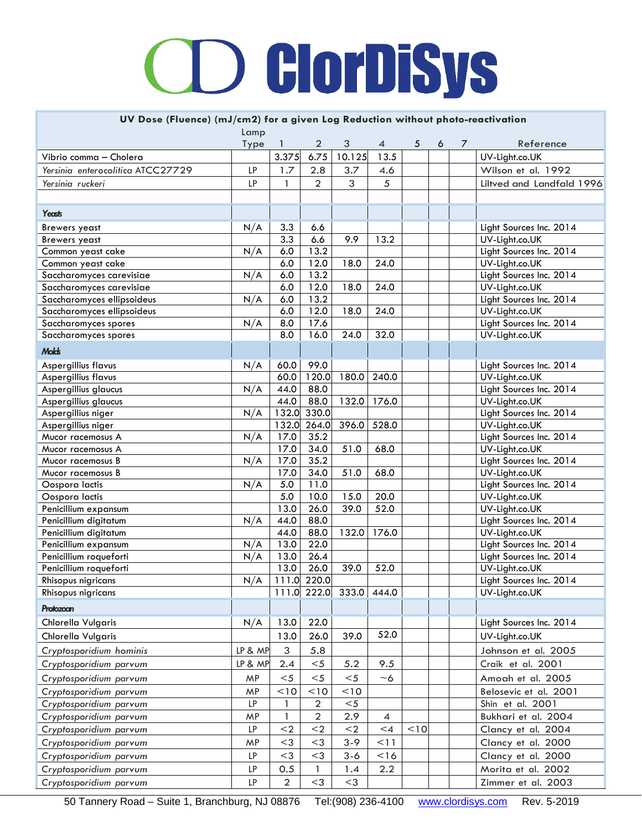#### **UV Dose (Fluence) (mJ/cm2) for a given Log Reduction without photo-reactivation**

|                                               | Lamp      |                |                |                   |                |      |   |   |                                           |
|-----------------------------------------------|-----------|----------------|----------------|-------------------|----------------|------|---|---|-------------------------------------------|
|                                               | Type      | 1              | 2              | 3                 | 4              | 5    | 6 | 7 | Reference                                 |
| Vibrio comma - Cholera                        |           | 3.375          | 6.75           | 10.125            | 13.5           |      |   |   | UV-Light.co.UK                            |
| Yersinia enterocolitica ATCC27729             | LP        | 1.7            | 2.8            | 3.7               | 4.6            |      |   |   | Wilson et al. 1992                        |
| Yersinia ruckeri                              | LP        | $\mathbf{1}$   | $\overline{2}$ | 3                 | 5              |      |   |   | Liltved and Landfald 1996                 |
|                                               |           |                |                |                   |                |      |   |   |                                           |
| Yeasts                                        |           |                |                |                   |                |      |   |   |                                           |
| <b>Brewers</b> yeast                          | N/A       | 3.3            | 6.6            |                   |                |      |   |   | Light Sources Inc. 2014                   |
| <b>Brewers</b> yeast                          |           | 3.3            | 6.6            | 9.9               | 13.2           |      |   |   | UV-Light.co.UK                            |
| Common yeast cake                             | N/A       | 6.0            | 13.2           |                   |                |      |   |   | Light Sources Inc. 2014                   |
| Common yeast cake                             |           | 6.0            | 12.0           | 18.0              | 24.0           |      |   |   | UV-Light.co.UK                            |
| Saccharomyces carevisiae                      | N/A       | 6.0            | 13.2           |                   |                |      |   |   | Light Sources Inc. 2014                   |
| Saccharomyces carevisiae                      |           | 6.0            | 12.0           | 18.0              | 24.0           |      |   |   | UV-Light.co.UK                            |
| Saccharomyces ellipsoideus                    | N/A       | 6.0            | 13.2           |                   |                |      |   |   | Light Sources Inc. 2014                   |
| Saccharomyces ellipsoideus                    |           | 6.0            | 12.0           | 18.0              | 24.0           |      |   |   | UV-Light.co.UK                            |
| Saccharomyces spores                          | N/A       | 8.0            | 17.6           |                   |                |      |   |   | Light Sources Inc. 2014                   |
| Saccharomyces spores                          |           | 8.0            | 16.0           | 24.0              | 32.0           |      |   |   | UV-Light.co.UK                            |
| <b>Molds</b>                                  |           |                |                |                   |                |      |   |   |                                           |
| Aspergillius flavus                           | N/A       | 60.0           | 99.0           |                   |                |      |   |   | Light Sources Inc. 2014                   |
| Aspergillius flavus                           |           | 60.0           | 120.0          | 180.0             | 240.0          |      |   |   | UV-Light.co.UK                            |
| Aspergillius glaucus                          | N/A       | 44.0           | 88.0           |                   |                |      |   |   | Light Sources Inc. 2014                   |
| Aspergillius glaucus                          |           | 44.0           | 88.0           | 132.0             | 176.0          |      |   |   | UV-Light.co.UK                            |
| Aspergillius niger                            | N/A       | 132.0          | 330.0          |                   |                |      |   |   | Light Sources Inc. 2014                   |
| Aspergillius niger                            |           | 132.0          | 264.0          | 396.0             | 528.0          |      |   |   | UV-Light.co.UK                            |
| Mucor racemosus A                             | N/A       | 17.0           | 35.2           |                   |                |      |   |   | Light Sources Inc. 2014                   |
| Mucor racemosus A                             |           | 17.0           | 34.0           | 51.0              | 68.0           |      |   |   | UV-Light.co.UK                            |
| Mucor racemosus B                             | N/A       | 17.0           | 35.2           |                   |                |      |   |   | Light Sources Inc. 2014                   |
| Mucor racemosus B                             |           | 17.0           | 34.0           | 51.0              | 68.0           |      |   |   | UV-Light.co.UK                            |
| Oospora lactis                                | N/A       | 5.0            | 11.0           |                   |                |      |   |   | Light Sources Inc. 2014                   |
| Oospora lactis                                |           | 5.0            | 10.0           | 15.0              | 20.0           |      |   |   | UV-Light.co.UK                            |
| Penicillium expansum                          |           | 13.0           | 26.0           | 39.0              | 52.0           |      |   |   | UV-Light.co.UK                            |
| Penicillium digitatum                         | N/A       | 44.0           | 88.0           |                   |                |      |   |   | Light Sources Inc. 2014                   |
| Penicillium digitatum<br>Penicillium expansum | N/A       | 44.0<br>13.0   | 88.0<br>22.0   | 132.0             | 176.0          |      |   |   | UV-Light.co.UK<br>Light Sources Inc. 2014 |
| Penicillium roqueforti                        | N/A       | 13.0           | 26.4           |                   |                |      |   |   | Light Sources Inc. 2014                   |
| Penicillium roqueforti                        |           | 13.0           | 26.0           | 39.0              | 52.0           |      |   |   | UV-Light.co.UK                            |
| Rhisopus nigricans                            | N/A       |                | 111.0 220.0    |                   |                |      |   |   | Light Sources Inc. 2014                   |
| Rhisopus nigricans                            |           |                |                | 111.0 222.0 333.0 | 444.0          |      |   |   | UV-Light.co.UK                            |
|                                               |           |                |                |                   |                |      |   |   |                                           |
| Protozoan<br>Chlorella Vulgaris               | N/A       | 13.0           | 22.0           |                   |                |      |   |   | Light Sources Inc. 2014                   |
|                                               |           | 13.0           | 26.0           | 39.0              | 52.0           |      |   |   | UV-Light.co.UK                            |
| Chlorella Vulgaris                            |           |                |                |                   |                |      |   |   |                                           |
| Cryptosporidium hominis                       | LP & MP   | 3              | 5.8            |                   |                |      |   |   | Johnson et al. 2005                       |
| Cryptosporidium parvum                        | LP & MP   | 2.4            | $5$            | 5.2               | 9.5            |      |   |   | Craik et al. 2001                         |
| Cryptosporidium parvum                        | MP        | $<$ 5          | $5$            | $<$ 5             | $~\sim$ 6      |      |   |   | Amoah et al. 2005                         |
| Cryptosporidium parvum                        | MP        | < 10           | < 10           | 10                |                |      |   |   | Belosevic et al. 2001                     |
| Cryptosporidium parvum                        | <b>LP</b> | 1              | $\overline{2}$ | $<$ 5             |                |      |   |   | Shin et al. 2001                          |
| Cryptosporidium parvum                        | MP        | 1              | $\overline{2}$ | 2.9               | $\overline{4}$ |      |   |   | Bukhari et al. 2004                       |
| Cryptosporidium parvum                        | <b>LP</b> | $2$            | $<$ 2          | $<$ 2             | $\leq 4$       | < 10 |   |   | Clancy et al. 2004                        |
| Cryptosporidium parvum                        | MP        | $<$ 3          | $<$ 3          | $3 - 9$           | 11             |      |   |   | Clancy et al. 2000                        |
| Cryptosporidium parvum                        | <b>LP</b> | $<$ 3          | $<$ 3          | $3 - 6$           | $<$ 16         |      |   |   | Clancy et al. 2000                        |
| Cryptosporidium parvum                        | <b>LP</b> | 0.5            | 1.             | 1.4               | 2.2            |      |   |   | Morita et al. 2002                        |
| Cryptosporidium parvum                        | <b>LP</b> | $\overline{2}$ | $<$ 3          | $<$ 3             |                |      |   |   | Zimmer et al. 2003                        |

50 Tannery Road – Suite 1, Branchburg, NJ 08876 Tel:(908) 236-4100 [www.clordisys.com](http://www.clordisys.com/) Rev. 5-2019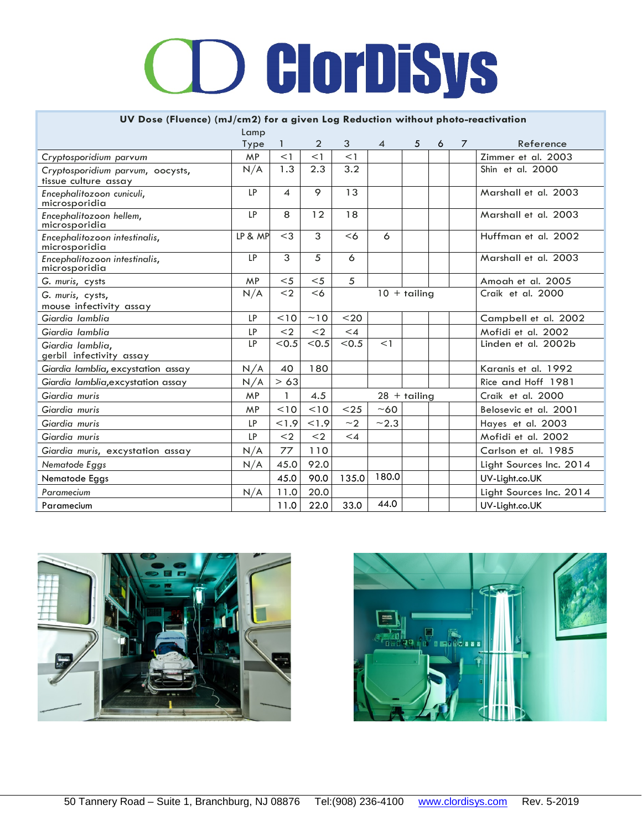#### **UV Dose (Fluence) (mJ/cm2) for a given Log Reduction without photo-reactivation**

|                                                | Lamp      |           |                |                       |                |                          |   |                   |                         |
|------------------------------------------------|-----------|-----------|----------------|-----------------------|----------------|--------------------------|---|-------------------|-------------------------|
|                                                | Type      |           | $\overline{2}$ | 3                     | $\overline{4}$ | 5                        | 6 | $\overline{7}$    | Reference               |
| Cryptosporidium parvum                         | <b>MP</b> | $<$ 1     | <1             | $<$ 1                 |                |                          |   |                   | Zimmer et al. 2003      |
| Cryptosporidium parvum, oocysts,               | N/A       | 1.3       | 2.3            | 3.2                   |                |                          |   |                   | Shin et al. 2000        |
| tissue culture assay                           |           |           |                |                       |                |                          |   |                   |                         |
| Encephalitozoon cuniculi,<br>microsporidia     | LP        | 4         | 9              | 13                    |                |                          |   |                   | Marshall et al. 2003    |
| Encephalitozoon hellem,<br>microsporidia       | LP        | 8         | 12             | 18                    |                |                          |   |                   | Marshall et al. 2003    |
| Encephalitozoon intestinalis,<br>microsporidia | LP & MP   | $<$ 3     | 3              | <6                    | 6              |                          |   |                   | Huffman et al. 2002     |
| Encephalitozoon intestinalis,<br>microsporidia | LP        | 3         | 5              | 6                     |                |                          |   |                   | Marshall et al. 2003    |
| G. muris, cysts                                | MP        | $5$       | $5$            | 5                     |                |                          |   |                   | Amogh et al. 2005       |
| G. muris, cysts,<br>mouse infectivity assay    | N/A       | $<$ 2     | <6             | $10 + \text{tailing}$ |                |                          |   | Craik et al. 2000 |                         |
| Giardia Iamblia                                | LP        | 10        | ~10            | $20$                  |                |                          |   |                   | Campbell et al. 2002    |
| Giardia Iamblia                                | LP        | $\langle$ | $\leq$         | $\leq$ 4              |                |                          |   |                   | Mofidi et al. 2002      |
| Giardia lamblia,<br>gerbil infectivity assay   | LP        | < 0.5     | < 0.5          | < 0.5                 | <1             |                          |   |                   | Linden et al. 2002b     |
| Giardia lamblia, excystation assay             | N/A       | 40        | 180            |                       |                |                          |   |                   | Karanis et al. 1992     |
| Giardia lamblia, excystation assay             | N/A       | > 63      |                |                       |                |                          |   |                   | Rice and Hoff 1981      |
| Giardia muris                                  | MP        |           | 4.5            |                       |                | $28 + \triangle$ tailing |   |                   | Craik et al. 2000       |
| Giardia muris                                  | <b>MP</b> | < 10      | < 10           | $<$ 25                | $~1$ –60       |                          |   |                   | Belosevic et al. 2001   |
| Giardia muris                                  | LP        | 1.9       | 1.9            | ~2                    | ~2.3           |                          |   |                   | Hayes et al. 2003       |
| Giardia muris                                  | LP        | $<$ 2     | $<$ 2          | $\leq 4$              |                |                          |   |                   | Mofidi et al. 2002      |
| Giardia muris, excystation assay               | N/A       | 77        | 110            |                       |                |                          |   |                   | Carlson et al. 1985     |
| Nematode Eggs                                  | N/A       | 45.0      | 92.0           |                       |                |                          |   |                   | Light Sources Inc. 2014 |
| Nematode Eggs                                  |           | 45.0      | 90.0           | 135.0                 | 180.0          |                          |   |                   | UV-Light.co.UK          |
| Paramecium                                     | N/A       | 11.0      | 20.0           |                       |                |                          |   |                   | Light Sources Inc. 2014 |
| Paramecium                                     |           | 11.0      | 22.0           | 33.0                  | 44.0           |                          |   |                   | UV-Light.co.UK          |



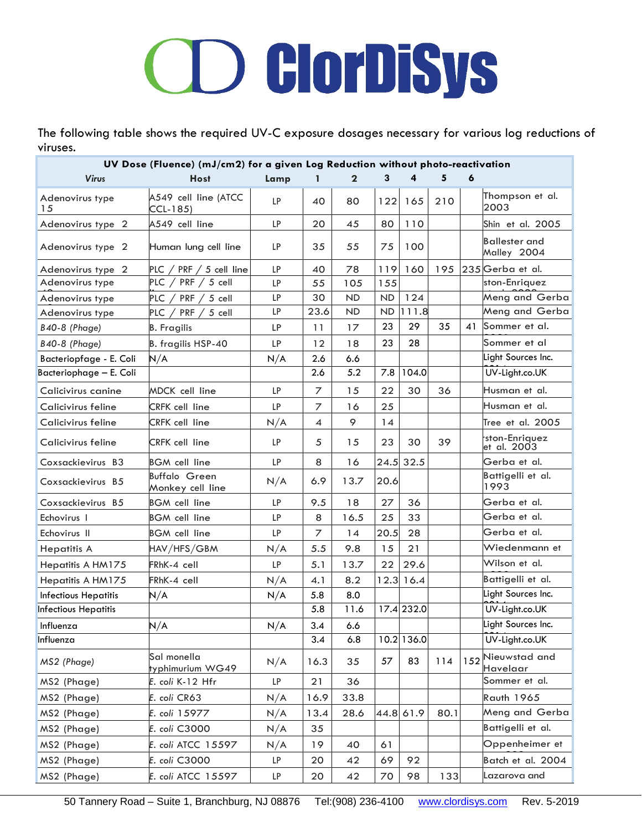The following table shows the required UV-C exposure dosages necessary for various log reductions of viruses.

| $\mathbf{2}$<br>3<br>4<br>5<br><b>Virus</b><br><b>Host</b><br>6<br>Lamp<br>1<br>Thompson et al.<br>A549 cell line (ATCC<br>Adenovirus type<br><b>LP</b><br>80<br>122<br>210<br>40<br>165<br>2003<br>15<br>CCL-185)<br>LP<br>110<br>A549 cell line<br>20<br>45<br>80<br>Adenovirus type 2<br>Shin et al. 2005<br><b>Ballester</b> and<br>35<br>55<br>100<br>Human lung cell line<br>LP<br>75<br>Adenovirus type 2<br>Malley 2004<br>235 Gerba et al.<br>LP<br>160<br>195<br>PLC / PRF / 5 cell line<br>40<br>78<br>119<br>Adenovirus type 2<br>PLC $/$ PRF $/$ 5 cell<br>ston-Enriquez<br>Adenovirus type<br>LP<br>155<br>55<br>105<br>Meng and Gerba<br>124<br>5 cell<br>LP<br>30<br><b>ND</b><br>ND<br>PLC $/$<br>PRF /<br>Adenovirus type<br>Meng and Gerba<br>111.8<br><b>LP</b><br>23.6<br><b>ND</b><br><b>ND</b><br>PRF<br>PLC $\overline{A}$<br>5 cell<br>Adenovirus type<br>23<br>29<br>35<br>41<br>Sommer et al.<br><b>B40-8 (Phage)</b><br><b>LP</b><br>11<br>17<br><b>B.</b> Fragilis<br>23<br>28<br>LP<br>Sommer et al<br><b>B40-8 (Phage)</b><br>B. fragilis HSP-40<br>12<br>18<br>Light Sources Inc.<br>Bacteriopfage - E. Coli<br>N/A<br>2.6<br>6.6<br>N/A<br>5.2<br>2.6<br>7.8<br>104.0<br>UV-Light.co.UK<br>22<br>30<br>Husman et al.<br><b>LP</b><br>$\overline{z}$<br>15<br>36<br>Calicivirus canine<br>MDCK cell line<br>LP<br>$\overline{z}$<br>25<br>Calicivirus feline<br>CRFK cell line<br>16<br>Husman et al.<br>9<br>14<br>Calicivirus feline<br>CRFK cell line<br>$\overline{4}$<br>Tree et al. 2005<br>N/A<br>ston-Enriquez<br>23<br>39<br>Calicivirus feline<br>CRFK cell line<br><b>LP</b><br>5<br>15<br>30<br>et al. 2003<br>LP<br>8<br>24.5 32.5<br>Gerba et al.<br>Coxsackievirus B3<br>16<br><b>BGM</b> cell line<br>Battigelli et al.<br>Buffalo Green<br>N/A<br>6.9<br>13.7<br>20.6<br>Coxsackievirus B5<br>1993<br>Monkey cell line<br>Gerba et al.<br><b>LP</b><br>9.5<br>18<br>27<br>36<br>Coxsackievirus B5<br><b>BGM</b> cell line<br>Gerba et al.<br>16.5<br>25<br>33<br>Echovirus I<br><b>BGM</b> cell line<br>LP<br>8<br>Gerba et al.<br>LP<br>7<br>20.5<br>28<br>Echovirus II<br><b>BGM</b> cell line<br>14<br>Wiedenmann et<br>15<br>21<br>5.5<br>9.8<br>HAV/HFS/GBM<br>N/A<br><b>Hepatitis A</b><br>Wilson et al.<br>29.6<br>22<br>FRhK-4 cell<br>LP<br>5.1<br>13.7<br>Hepatitis A HM175<br>Battigelli et al.<br>8.2<br>12.3<br>16.4<br>Hepatitis A HM175<br>FRhK-4 cell<br>N/A<br>4.1<br>Light Sources Inc.<br>N/A<br>5.8<br>8.0<br><b>Infectious Hepatitis</b><br>N/A<br>5.8<br>17.4 232.0<br>UV-Light.co.UK<br>11.6<br>Light Sources Inc.<br>N/A<br>N/A<br>3.4<br>Influenza<br>6.6<br>10.2 136.0<br>3.4<br>6.8<br>UV-Light.co.UK<br>Sal monella<br>Nieuwstad and<br>152<br>83<br>57<br>114<br>N/A<br>16.3<br>35<br>MS2 (Phage)<br>typhimurium WG49<br>Havelaar<br>Sommer et al.<br>LP<br>21<br>36<br>MS2 (Phage)<br>E. coli K-12 Hfr<br>MS2 (Phage)<br>E. coli CR63<br>33.8<br><b>Rauth 1965</b><br>N/A<br>16.9<br>Meng and Gerba<br>44.8 61.9<br>80.1<br>MS2 (Phage)<br>E. coli 15977<br>N/A<br>13.4<br>28.6<br>Battigelli et al.<br>MS2 (Phage)<br>E. coli C3000<br>N/A<br>35<br>Oppenheimer et<br>MS2 (Phage)<br>E. coli ATCC 15597<br>19<br>40<br>61<br>N/A<br>MS2 (Phage)<br>E. coli C3000<br>92<br>LP.<br>20<br>42<br>69<br>Batch et al. 2004 |                             | UV Dose (Fluence) (mJ/cm2) for a given Log Reduction without photo-reactivation |  |  |  |  |
|------------------------------------------------------------------------------------------------------------------------------------------------------------------------------------------------------------------------------------------------------------------------------------------------------------------------------------------------------------------------------------------------------------------------------------------------------------------------------------------------------------------------------------------------------------------------------------------------------------------------------------------------------------------------------------------------------------------------------------------------------------------------------------------------------------------------------------------------------------------------------------------------------------------------------------------------------------------------------------------------------------------------------------------------------------------------------------------------------------------------------------------------------------------------------------------------------------------------------------------------------------------------------------------------------------------------------------------------------------------------------------------------------------------------------------------------------------------------------------------------------------------------------------------------------------------------------------------------------------------------------------------------------------------------------------------------------------------------------------------------------------------------------------------------------------------------------------------------------------------------------------------------------------------------------------------------------------------------------------------------------------------------------------------------------------------------------------------------------------------------------------------------------------------------------------------------------------------------------------------------------------------------------------------------------------------------------------------------------------------------------------------------------------------------------------------------------------------------------------------------------------------------------------------------------------------------------------------------------------------------------------------------------------------------------------------------------------------------------------------------------------------------------------------------------------------------------------------------------------------------------------------------------------------------------------------------------------------------------------------------------------------------------------------------------------------------------------------------------------------------------------------------------------------------------------------------------------------------------------------------------------------------------------------------------|-----------------------------|---------------------------------------------------------------------------------|--|--|--|--|
|                                                                                                                                                                                                                                                                                                                                                                                                                                                                                                                                                                                                                                                                                                                                                                                                                                                                                                                                                                                                                                                                                                                                                                                                                                                                                                                                                                                                                                                                                                                                                                                                                                                                                                                                                                                                                                                                                                                                                                                                                                                                                                                                                                                                                                                                                                                                                                                                                                                                                                                                                                                                                                                                                                                                                                                                                                                                                                                                                                                                                                                                                                                                                                                                                                                                                                      |                             |                                                                                 |  |  |  |  |
|                                                                                                                                                                                                                                                                                                                                                                                                                                                                                                                                                                                                                                                                                                                                                                                                                                                                                                                                                                                                                                                                                                                                                                                                                                                                                                                                                                                                                                                                                                                                                                                                                                                                                                                                                                                                                                                                                                                                                                                                                                                                                                                                                                                                                                                                                                                                                                                                                                                                                                                                                                                                                                                                                                                                                                                                                                                                                                                                                                                                                                                                                                                                                                                                                                                                                                      |                             |                                                                                 |  |  |  |  |
|                                                                                                                                                                                                                                                                                                                                                                                                                                                                                                                                                                                                                                                                                                                                                                                                                                                                                                                                                                                                                                                                                                                                                                                                                                                                                                                                                                                                                                                                                                                                                                                                                                                                                                                                                                                                                                                                                                                                                                                                                                                                                                                                                                                                                                                                                                                                                                                                                                                                                                                                                                                                                                                                                                                                                                                                                                                                                                                                                                                                                                                                                                                                                                                                                                                                                                      |                             |                                                                                 |  |  |  |  |
|                                                                                                                                                                                                                                                                                                                                                                                                                                                                                                                                                                                                                                                                                                                                                                                                                                                                                                                                                                                                                                                                                                                                                                                                                                                                                                                                                                                                                                                                                                                                                                                                                                                                                                                                                                                                                                                                                                                                                                                                                                                                                                                                                                                                                                                                                                                                                                                                                                                                                                                                                                                                                                                                                                                                                                                                                                                                                                                                                                                                                                                                                                                                                                                                                                                                                                      |                             |                                                                                 |  |  |  |  |
|                                                                                                                                                                                                                                                                                                                                                                                                                                                                                                                                                                                                                                                                                                                                                                                                                                                                                                                                                                                                                                                                                                                                                                                                                                                                                                                                                                                                                                                                                                                                                                                                                                                                                                                                                                                                                                                                                                                                                                                                                                                                                                                                                                                                                                                                                                                                                                                                                                                                                                                                                                                                                                                                                                                                                                                                                                                                                                                                                                                                                                                                                                                                                                                                                                                                                                      |                             |                                                                                 |  |  |  |  |
|                                                                                                                                                                                                                                                                                                                                                                                                                                                                                                                                                                                                                                                                                                                                                                                                                                                                                                                                                                                                                                                                                                                                                                                                                                                                                                                                                                                                                                                                                                                                                                                                                                                                                                                                                                                                                                                                                                                                                                                                                                                                                                                                                                                                                                                                                                                                                                                                                                                                                                                                                                                                                                                                                                                                                                                                                                                                                                                                                                                                                                                                                                                                                                                                                                                                                                      |                             |                                                                                 |  |  |  |  |
|                                                                                                                                                                                                                                                                                                                                                                                                                                                                                                                                                                                                                                                                                                                                                                                                                                                                                                                                                                                                                                                                                                                                                                                                                                                                                                                                                                                                                                                                                                                                                                                                                                                                                                                                                                                                                                                                                                                                                                                                                                                                                                                                                                                                                                                                                                                                                                                                                                                                                                                                                                                                                                                                                                                                                                                                                                                                                                                                                                                                                                                                                                                                                                                                                                                                                                      |                             |                                                                                 |  |  |  |  |
|                                                                                                                                                                                                                                                                                                                                                                                                                                                                                                                                                                                                                                                                                                                                                                                                                                                                                                                                                                                                                                                                                                                                                                                                                                                                                                                                                                                                                                                                                                                                                                                                                                                                                                                                                                                                                                                                                                                                                                                                                                                                                                                                                                                                                                                                                                                                                                                                                                                                                                                                                                                                                                                                                                                                                                                                                                                                                                                                                                                                                                                                                                                                                                                                                                                                                                      |                             |                                                                                 |  |  |  |  |
|                                                                                                                                                                                                                                                                                                                                                                                                                                                                                                                                                                                                                                                                                                                                                                                                                                                                                                                                                                                                                                                                                                                                                                                                                                                                                                                                                                                                                                                                                                                                                                                                                                                                                                                                                                                                                                                                                                                                                                                                                                                                                                                                                                                                                                                                                                                                                                                                                                                                                                                                                                                                                                                                                                                                                                                                                                                                                                                                                                                                                                                                                                                                                                                                                                                                                                      |                             |                                                                                 |  |  |  |  |
|                                                                                                                                                                                                                                                                                                                                                                                                                                                                                                                                                                                                                                                                                                                                                                                                                                                                                                                                                                                                                                                                                                                                                                                                                                                                                                                                                                                                                                                                                                                                                                                                                                                                                                                                                                                                                                                                                                                                                                                                                                                                                                                                                                                                                                                                                                                                                                                                                                                                                                                                                                                                                                                                                                                                                                                                                                                                                                                                                                                                                                                                                                                                                                                                                                                                                                      |                             |                                                                                 |  |  |  |  |
|                                                                                                                                                                                                                                                                                                                                                                                                                                                                                                                                                                                                                                                                                                                                                                                                                                                                                                                                                                                                                                                                                                                                                                                                                                                                                                                                                                                                                                                                                                                                                                                                                                                                                                                                                                                                                                                                                                                                                                                                                                                                                                                                                                                                                                                                                                                                                                                                                                                                                                                                                                                                                                                                                                                                                                                                                                                                                                                                                                                                                                                                                                                                                                                                                                                                                                      |                             |                                                                                 |  |  |  |  |
|                                                                                                                                                                                                                                                                                                                                                                                                                                                                                                                                                                                                                                                                                                                                                                                                                                                                                                                                                                                                                                                                                                                                                                                                                                                                                                                                                                                                                                                                                                                                                                                                                                                                                                                                                                                                                                                                                                                                                                                                                                                                                                                                                                                                                                                                                                                                                                                                                                                                                                                                                                                                                                                                                                                                                                                                                                                                                                                                                                                                                                                                                                                                                                                                                                                                                                      | Bacteriophage - E. Coli     |                                                                                 |  |  |  |  |
|                                                                                                                                                                                                                                                                                                                                                                                                                                                                                                                                                                                                                                                                                                                                                                                                                                                                                                                                                                                                                                                                                                                                                                                                                                                                                                                                                                                                                                                                                                                                                                                                                                                                                                                                                                                                                                                                                                                                                                                                                                                                                                                                                                                                                                                                                                                                                                                                                                                                                                                                                                                                                                                                                                                                                                                                                                                                                                                                                                                                                                                                                                                                                                                                                                                                                                      |                             |                                                                                 |  |  |  |  |
|                                                                                                                                                                                                                                                                                                                                                                                                                                                                                                                                                                                                                                                                                                                                                                                                                                                                                                                                                                                                                                                                                                                                                                                                                                                                                                                                                                                                                                                                                                                                                                                                                                                                                                                                                                                                                                                                                                                                                                                                                                                                                                                                                                                                                                                                                                                                                                                                                                                                                                                                                                                                                                                                                                                                                                                                                                                                                                                                                                                                                                                                                                                                                                                                                                                                                                      |                             |                                                                                 |  |  |  |  |
|                                                                                                                                                                                                                                                                                                                                                                                                                                                                                                                                                                                                                                                                                                                                                                                                                                                                                                                                                                                                                                                                                                                                                                                                                                                                                                                                                                                                                                                                                                                                                                                                                                                                                                                                                                                                                                                                                                                                                                                                                                                                                                                                                                                                                                                                                                                                                                                                                                                                                                                                                                                                                                                                                                                                                                                                                                                                                                                                                                                                                                                                                                                                                                                                                                                                                                      |                             |                                                                                 |  |  |  |  |
|                                                                                                                                                                                                                                                                                                                                                                                                                                                                                                                                                                                                                                                                                                                                                                                                                                                                                                                                                                                                                                                                                                                                                                                                                                                                                                                                                                                                                                                                                                                                                                                                                                                                                                                                                                                                                                                                                                                                                                                                                                                                                                                                                                                                                                                                                                                                                                                                                                                                                                                                                                                                                                                                                                                                                                                                                                                                                                                                                                                                                                                                                                                                                                                                                                                                                                      |                             |                                                                                 |  |  |  |  |
|                                                                                                                                                                                                                                                                                                                                                                                                                                                                                                                                                                                                                                                                                                                                                                                                                                                                                                                                                                                                                                                                                                                                                                                                                                                                                                                                                                                                                                                                                                                                                                                                                                                                                                                                                                                                                                                                                                                                                                                                                                                                                                                                                                                                                                                                                                                                                                                                                                                                                                                                                                                                                                                                                                                                                                                                                                                                                                                                                                                                                                                                                                                                                                                                                                                                                                      |                             |                                                                                 |  |  |  |  |
|                                                                                                                                                                                                                                                                                                                                                                                                                                                                                                                                                                                                                                                                                                                                                                                                                                                                                                                                                                                                                                                                                                                                                                                                                                                                                                                                                                                                                                                                                                                                                                                                                                                                                                                                                                                                                                                                                                                                                                                                                                                                                                                                                                                                                                                                                                                                                                                                                                                                                                                                                                                                                                                                                                                                                                                                                                                                                                                                                                                                                                                                                                                                                                                                                                                                                                      |                             |                                                                                 |  |  |  |  |
|                                                                                                                                                                                                                                                                                                                                                                                                                                                                                                                                                                                                                                                                                                                                                                                                                                                                                                                                                                                                                                                                                                                                                                                                                                                                                                                                                                                                                                                                                                                                                                                                                                                                                                                                                                                                                                                                                                                                                                                                                                                                                                                                                                                                                                                                                                                                                                                                                                                                                                                                                                                                                                                                                                                                                                                                                                                                                                                                                                                                                                                                                                                                                                                                                                                                                                      |                             |                                                                                 |  |  |  |  |
|                                                                                                                                                                                                                                                                                                                                                                                                                                                                                                                                                                                                                                                                                                                                                                                                                                                                                                                                                                                                                                                                                                                                                                                                                                                                                                                                                                                                                                                                                                                                                                                                                                                                                                                                                                                                                                                                                                                                                                                                                                                                                                                                                                                                                                                                                                                                                                                                                                                                                                                                                                                                                                                                                                                                                                                                                                                                                                                                                                                                                                                                                                                                                                                                                                                                                                      |                             |                                                                                 |  |  |  |  |
|                                                                                                                                                                                                                                                                                                                                                                                                                                                                                                                                                                                                                                                                                                                                                                                                                                                                                                                                                                                                                                                                                                                                                                                                                                                                                                                                                                                                                                                                                                                                                                                                                                                                                                                                                                                                                                                                                                                                                                                                                                                                                                                                                                                                                                                                                                                                                                                                                                                                                                                                                                                                                                                                                                                                                                                                                                                                                                                                                                                                                                                                                                                                                                                                                                                                                                      |                             |                                                                                 |  |  |  |  |
|                                                                                                                                                                                                                                                                                                                                                                                                                                                                                                                                                                                                                                                                                                                                                                                                                                                                                                                                                                                                                                                                                                                                                                                                                                                                                                                                                                                                                                                                                                                                                                                                                                                                                                                                                                                                                                                                                                                                                                                                                                                                                                                                                                                                                                                                                                                                                                                                                                                                                                                                                                                                                                                                                                                                                                                                                                                                                                                                                                                                                                                                                                                                                                                                                                                                                                      |                             |                                                                                 |  |  |  |  |
|                                                                                                                                                                                                                                                                                                                                                                                                                                                                                                                                                                                                                                                                                                                                                                                                                                                                                                                                                                                                                                                                                                                                                                                                                                                                                                                                                                                                                                                                                                                                                                                                                                                                                                                                                                                                                                                                                                                                                                                                                                                                                                                                                                                                                                                                                                                                                                                                                                                                                                                                                                                                                                                                                                                                                                                                                                                                                                                                                                                                                                                                                                                                                                                                                                                                                                      |                             |                                                                                 |  |  |  |  |
|                                                                                                                                                                                                                                                                                                                                                                                                                                                                                                                                                                                                                                                                                                                                                                                                                                                                                                                                                                                                                                                                                                                                                                                                                                                                                                                                                                                                                                                                                                                                                                                                                                                                                                                                                                                                                                                                                                                                                                                                                                                                                                                                                                                                                                                                                                                                                                                                                                                                                                                                                                                                                                                                                                                                                                                                                                                                                                                                                                                                                                                                                                                                                                                                                                                                                                      |                             |                                                                                 |  |  |  |  |
|                                                                                                                                                                                                                                                                                                                                                                                                                                                                                                                                                                                                                                                                                                                                                                                                                                                                                                                                                                                                                                                                                                                                                                                                                                                                                                                                                                                                                                                                                                                                                                                                                                                                                                                                                                                                                                                                                                                                                                                                                                                                                                                                                                                                                                                                                                                                                                                                                                                                                                                                                                                                                                                                                                                                                                                                                                                                                                                                                                                                                                                                                                                                                                                                                                                                                                      |                             |                                                                                 |  |  |  |  |
|                                                                                                                                                                                                                                                                                                                                                                                                                                                                                                                                                                                                                                                                                                                                                                                                                                                                                                                                                                                                                                                                                                                                                                                                                                                                                                                                                                                                                                                                                                                                                                                                                                                                                                                                                                                                                                                                                                                                                                                                                                                                                                                                                                                                                                                                                                                                                                                                                                                                                                                                                                                                                                                                                                                                                                                                                                                                                                                                                                                                                                                                                                                                                                                                                                                                                                      | <b>Infectious Hepatitis</b> |                                                                                 |  |  |  |  |
|                                                                                                                                                                                                                                                                                                                                                                                                                                                                                                                                                                                                                                                                                                                                                                                                                                                                                                                                                                                                                                                                                                                                                                                                                                                                                                                                                                                                                                                                                                                                                                                                                                                                                                                                                                                                                                                                                                                                                                                                                                                                                                                                                                                                                                                                                                                                                                                                                                                                                                                                                                                                                                                                                                                                                                                                                                                                                                                                                                                                                                                                                                                                                                                                                                                                                                      |                             |                                                                                 |  |  |  |  |
|                                                                                                                                                                                                                                                                                                                                                                                                                                                                                                                                                                                                                                                                                                                                                                                                                                                                                                                                                                                                                                                                                                                                                                                                                                                                                                                                                                                                                                                                                                                                                                                                                                                                                                                                                                                                                                                                                                                                                                                                                                                                                                                                                                                                                                                                                                                                                                                                                                                                                                                                                                                                                                                                                                                                                                                                                                                                                                                                                                                                                                                                                                                                                                                                                                                                                                      | Influenza                   |                                                                                 |  |  |  |  |
|                                                                                                                                                                                                                                                                                                                                                                                                                                                                                                                                                                                                                                                                                                                                                                                                                                                                                                                                                                                                                                                                                                                                                                                                                                                                                                                                                                                                                                                                                                                                                                                                                                                                                                                                                                                                                                                                                                                                                                                                                                                                                                                                                                                                                                                                                                                                                                                                                                                                                                                                                                                                                                                                                                                                                                                                                                                                                                                                                                                                                                                                                                                                                                                                                                                                                                      |                             |                                                                                 |  |  |  |  |
|                                                                                                                                                                                                                                                                                                                                                                                                                                                                                                                                                                                                                                                                                                                                                                                                                                                                                                                                                                                                                                                                                                                                                                                                                                                                                                                                                                                                                                                                                                                                                                                                                                                                                                                                                                                                                                                                                                                                                                                                                                                                                                                                                                                                                                                                                                                                                                                                                                                                                                                                                                                                                                                                                                                                                                                                                                                                                                                                                                                                                                                                                                                                                                                                                                                                                                      |                             |                                                                                 |  |  |  |  |
|                                                                                                                                                                                                                                                                                                                                                                                                                                                                                                                                                                                                                                                                                                                                                                                                                                                                                                                                                                                                                                                                                                                                                                                                                                                                                                                                                                                                                                                                                                                                                                                                                                                                                                                                                                                                                                                                                                                                                                                                                                                                                                                                                                                                                                                                                                                                                                                                                                                                                                                                                                                                                                                                                                                                                                                                                                                                                                                                                                                                                                                                                                                                                                                                                                                                                                      |                             |                                                                                 |  |  |  |  |
|                                                                                                                                                                                                                                                                                                                                                                                                                                                                                                                                                                                                                                                                                                                                                                                                                                                                                                                                                                                                                                                                                                                                                                                                                                                                                                                                                                                                                                                                                                                                                                                                                                                                                                                                                                                                                                                                                                                                                                                                                                                                                                                                                                                                                                                                                                                                                                                                                                                                                                                                                                                                                                                                                                                                                                                                                                                                                                                                                                                                                                                                                                                                                                                                                                                                                                      |                             |                                                                                 |  |  |  |  |
|                                                                                                                                                                                                                                                                                                                                                                                                                                                                                                                                                                                                                                                                                                                                                                                                                                                                                                                                                                                                                                                                                                                                                                                                                                                                                                                                                                                                                                                                                                                                                                                                                                                                                                                                                                                                                                                                                                                                                                                                                                                                                                                                                                                                                                                                                                                                                                                                                                                                                                                                                                                                                                                                                                                                                                                                                                                                                                                                                                                                                                                                                                                                                                                                                                                                                                      |                             |                                                                                 |  |  |  |  |
|                                                                                                                                                                                                                                                                                                                                                                                                                                                                                                                                                                                                                                                                                                                                                                                                                                                                                                                                                                                                                                                                                                                                                                                                                                                                                                                                                                                                                                                                                                                                                                                                                                                                                                                                                                                                                                                                                                                                                                                                                                                                                                                                                                                                                                                                                                                                                                                                                                                                                                                                                                                                                                                                                                                                                                                                                                                                                                                                                                                                                                                                                                                                                                                                                                                                                                      |                             |                                                                                 |  |  |  |  |
|                                                                                                                                                                                                                                                                                                                                                                                                                                                                                                                                                                                                                                                                                                                                                                                                                                                                                                                                                                                                                                                                                                                                                                                                                                                                                                                                                                                                                                                                                                                                                                                                                                                                                                                                                                                                                                                                                                                                                                                                                                                                                                                                                                                                                                                                                                                                                                                                                                                                                                                                                                                                                                                                                                                                                                                                                                                                                                                                                                                                                                                                                                                                                                                                                                                                                                      |                             |                                                                                 |  |  |  |  |
| Lazarova and<br>MS2 (Phage)<br>LP<br>20<br>42<br>70<br>98<br>133                                                                                                                                                                                                                                                                                                                                                                                                                                                                                                                                                                                                                                                                                                                                                                                                                                                                                                                                                                                                                                                                                                                                                                                                                                                                                                                                                                                                                                                                                                                                                                                                                                                                                                                                                                                                                                                                                                                                                                                                                                                                                                                                                                                                                                                                                                                                                                                                                                                                                                                                                                                                                                                                                                                                                                                                                                                                                                                                                                                                                                                                                                                                                                                                                                     |                             | E. coli ATCC 15597                                                              |  |  |  |  |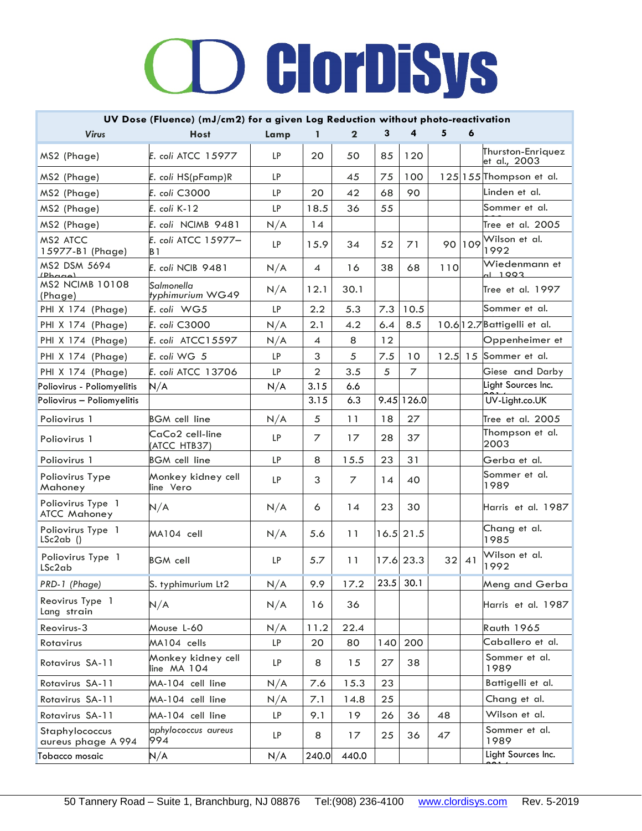| UV Dose (Fluence) (mJ/cm2) for a given Log Reduction without photo-reactivation |                                   |           |                |                |     |             |     |              |                                   |
|---------------------------------------------------------------------------------|-----------------------------------|-----------|----------------|----------------|-----|-------------|-----|--------------|-----------------------------------|
| <b>Virus</b>                                                                    | <b>Host</b>                       | Lamp      |                | $\mathbf 2$    | з   |             | 5   |              |                                   |
| MS2 (Phage)                                                                     | E. coli ATCC 15977                | <b>LP</b> | 20             | 50             | 85  | 120         |     |              | Thurston-Enriquez<br>et al., 2003 |
| MS2 (Phage)                                                                     | E. coli HS(pFamp)R                | <b>LP</b> |                | 45             | 75  | 100         |     |              | 125 155 Thompson et al.           |
| MS2 (Phage)                                                                     | E. coli C3000                     | <b>LP</b> | 20             | 42             | 68  | 90          |     |              | Linden et al.                     |
| MS2 (Phage)                                                                     | E. coli K-12                      | <b>LP</b> | 18.5           | 36             | 55  |             |     |              | Sommer et al.                     |
| MS2 (Phage)                                                                     | E. coli NCIMB 9481                | N/A       | 14             |                |     |             |     |              | Tree et al. $2005$                |
| MS2 ATCC<br>15977-B1 (Phage)                                                    | E. coli ATCC 15977-<br>B 1        | <b>LP</b> | 15.9           | 34             | 52  | 71          | 90  | 109          | Wilson et al.<br>1992             |
| MS2 DSM 5694<br>(Dhacal)                                                        | E. coli NCIB 9481                 | N/A       | 4              | 16             | 38  | 68          | 110 |              | Wiedenmann et<br>$-1993$          |
| <b>MS2 NCIMB 10108</b><br>(Phage)                                               | Salmonella<br>typhimurium WG49    | N/A       | 12.1           | 30.1           |     |             |     |              | Tree et al. 1997                  |
| PHI X 174 (Phage)                                                               | E. coli WG5                       | LP        | 2.2            | 5.3            | 7.3 | 10.5        |     |              | Sommer et al.                     |
| PHI X 174 (Phage)                                                               | E. coli C3000                     | N/A       | 2.1            | 4.2            | 6.4 | 8.5         |     |              | 10.6 12.7 Battigelli et al.       |
| PHI X 174 (Phage)                                                               | E. coli ATCC15597                 | N/A       | 4              | 8              | 12  |             |     |              | Oppenheimer et                    |
| PHI X 174 (Phage)                                                               | E. coli WG 5                      | <b>LP</b> | 3              | 5              | 7.5 | 10          |     |              | 12.5 15 Sommer et al.             |
| PHI $X$ 174 (Phage)                                                             | E. coli ATCC 13706                | LP        | $\overline{2}$ | 3.5            | 5   | 7           |     |              | Giese and Darby                   |
| Poliovirus - Poliomyelitis                                                      | N/A                               | N/A       | 3.15           | 6.6            |     |             |     |              | Light Sources Inc.                |
| Poliovirus - Poliomyelitis                                                      |                                   |           | 3.15           | 6.3            |     | 9.45 126.0  |     |              | UV-Light.co.UK                    |
| Poliovirus 1                                                                    | <b>BGM</b> cell line              | N/A       | 5              | 11             | 18  | 27          |     |              | Tree et al. 2005                  |
| Poliovirus 1                                                                    | CaCo2 cell-line<br>(ATCC HTB37)   | <b>LP</b> | $\overline{7}$ | 17             | 28  | 37          |     |              | Thompson et al.<br>2003           |
| Poliovirus 1                                                                    | <b>BGM</b> cell line              | <b>LP</b> | 8              | 15.5           | 23  | 31          |     |              | Gerba et al.                      |
| Poliovirus Type<br>Mahoney                                                      | Monkey kidney cell<br>line Vero   | <b>LP</b> | 3              | $\overline{7}$ | 14  | 40          |     |              | Sommer et al.<br>1989             |
| Poliovirus Type 1<br><b>ATCC Mahoney</b>                                        | N/A                               | N/A       | 6              | 14             | 23  | 30          |     |              | Harris et al. 1987                |
| Poliovirus Type 1<br>$LSc2ab$ ()                                                | MA104 cell                        | N/A       | 5.6            | 11             |     | $16.5$ 21.5 |     |              | Chang et al.<br>1985              |
| Poliovirus Type 1<br>LSc2ab                                                     | <b>BGM</b> cell                   | <b>LP</b> | 5.7            | 11             |     | 17.6 23.3   |     | $32 \mid 41$ | Wilson et al.<br>1992             |
| PRD-1 (Phage)                                                                   | S. typhimurium Lt2                | N/A       | 9.9            | 17.2           |     | $23.5$ 30.1 |     |              | Meng and Gerba                    |
| Reovirus Type 1<br>Lang strain                                                  | N/A                               | N/A       | 16             | 36             |     |             |     |              | Harris et al. 1987                |
| Reovirus-3                                                                      | Mouse L-60                        | N/A       | 11.2           | 22.4           |     |             |     |              | <b>Rauth 1965</b>                 |
| Rotavirus                                                                       | MA104 cells                       | LP        | 20             | 80             | 140 | 200         |     |              | Caballero et al.                  |
| Rotavirus SA-11                                                                 | Monkey kidney cell<br>line MA 104 | LP        | 8              | 15             | 27  | 38          |     |              | Sommer et al.<br>1989             |
| Rotavirus SA-11                                                                 | MA-104 cell line                  | N/A       | 7.6            | 15.3           | 23  |             |     |              | Battigelli et al.                 |
| Rotavirus SA-11                                                                 | MA-104 cell line                  | N/A       | 7.1            | 14.8           | 25  |             |     |              | Chang et al.                      |
| Rotavirus SA-11                                                                 | MA-104 cell line                  | LP        | 9.1            | 19             | 26  | 36          | 48  |              | Wilson et al.                     |
| Staphylococcus<br>aureus phage A 994                                            | aphylococcus aureus<br>994        | LP        | 8              | 17             | 25  | 36          | 47  |              | Sommer et al.<br>1989             |
| Tobacco mosaic                                                                  | N/A                               | N/A       | 240.0          | 440.0          |     |             |     |              | Light Sources Inc.                |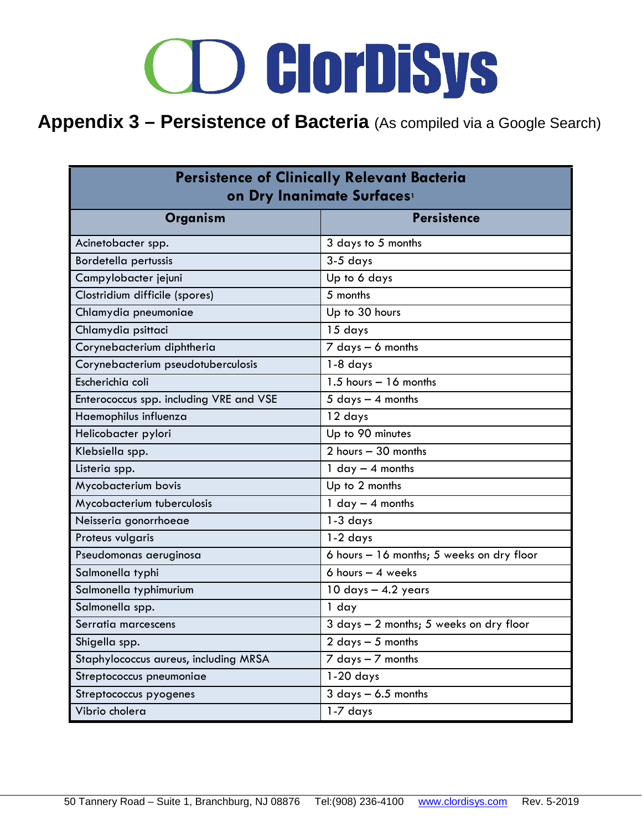### **Appendix 3 – Persistence of Bacteria** (As compiled via a Google Search)

| <b>Persistence of Clinically Relevant Bacteria</b><br>on Dry Inanimate Surfaces |                                           |  |  |  |  |  |  |
|---------------------------------------------------------------------------------|-------------------------------------------|--|--|--|--|--|--|
| Organism                                                                        | <b>Persistence</b>                        |  |  |  |  |  |  |
| Acinetobacter spp.                                                              | 3 days to 5 months                        |  |  |  |  |  |  |
| <b>Bordetella pertussis</b>                                                     | $3-5$ days                                |  |  |  |  |  |  |
| Campylobacter jejuni                                                            | Up to 6 days                              |  |  |  |  |  |  |
| Clostridium difficile (spores)                                                  | 5 months                                  |  |  |  |  |  |  |
| Chlamydia pneumoniae                                                            | Up to 30 hours                            |  |  |  |  |  |  |
| Chlamydia psittaci                                                              | 15 days                                   |  |  |  |  |  |  |
| Corynebacterium diphtheria                                                      | $7$ days $-6$ months                      |  |  |  |  |  |  |
| Corynebacterium pseudotuberculosis                                              | $1-8$ days                                |  |  |  |  |  |  |
| Escherichia coli                                                                | $\overline{1.5}$ hours - 16 months        |  |  |  |  |  |  |
| Enterococcus spp. including VRE and VSE                                         | $5$ days $-$ 4 months                     |  |  |  |  |  |  |
| Haemophilus influenza                                                           | 12 days                                   |  |  |  |  |  |  |
| Helicobacter pylori                                                             | Up to 90 minutes                          |  |  |  |  |  |  |
| Klebsiella spp.                                                                 | $2$ hours $-30$ months                    |  |  |  |  |  |  |
| Listeria spp.                                                                   | 1 $day - 4$ months                        |  |  |  |  |  |  |
| Mycobacterium bovis                                                             | Up to 2 months                            |  |  |  |  |  |  |
| Mycobacterium tuberculosis                                                      | 1 $day - 4$ months                        |  |  |  |  |  |  |
| Neisseria gonorrhoeae                                                           | $1-3$ days                                |  |  |  |  |  |  |
| Proteus vulgaris                                                                | $1-2$ days                                |  |  |  |  |  |  |
| Pseudomonas aeruginosa                                                          | 6 hours - 16 months; 5 weeks on dry floor |  |  |  |  |  |  |
| Salmonella typhi                                                                | $6$ hours $-4$ weeks                      |  |  |  |  |  |  |
| Salmonella typhimurium                                                          | $10$ days $-$ 4.2 years                   |  |  |  |  |  |  |
| Salmonella spp.                                                                 | 1 day                                     |  |  |  |  |  |  |
| Serratia marcescens                                                             | 3 days - 2 months; 5 weeks on dry floor   |  |  |  |  |  |  |
| Shigella spp.                                                                   | $2$ days $-5$ months                      |  |  |  |  |  |  |
| Staphylococcus aureus, including MRSA                                           | $7$ days $-7$ months                      |  |  |  |  |  |  |
| Streptococcus pneumoniae                                                        | $1-20$ days                               |  |  |  |  |  |  |
| Streptococcus pyogenes                                                          | $3$ days $-6.5$ months                    |  |  |  |  |  |  |
| Vibrio cholera                                                                  | 1-7 days                                  |  |  |  |  |  |  |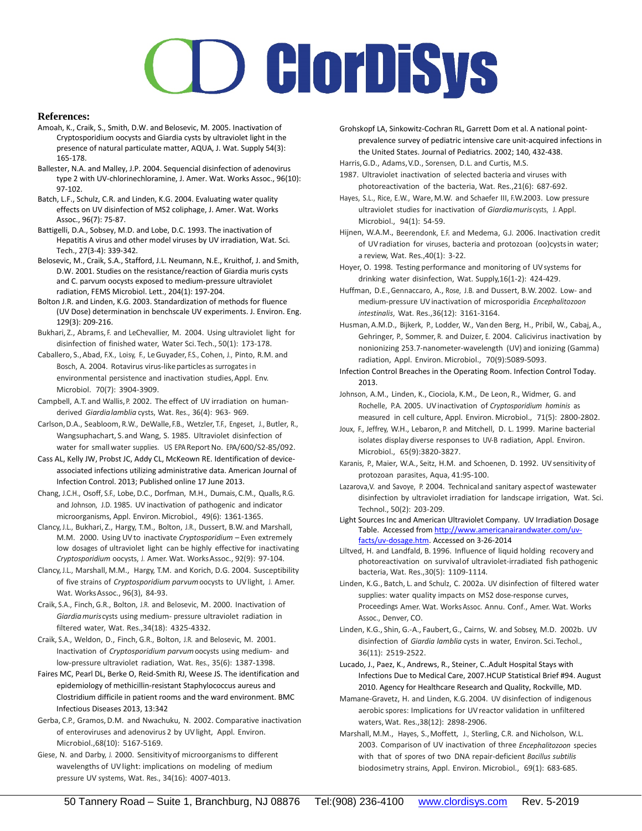#### **References:**

- Amoah, K., Craik, S., Smith, D.W. and Belosevic, M. 2005. Inactivation of Cryptosporidium oocysts and Giardia cysts by ultraviolet light in the presence of natural particulate matter, AQUA, J. Wat. Supply 54(3): 165-178.
- Ballester, N.A. and Malley, J.P. 2004. Sequencial disinfection of adenovirus type 2 with UV-chlorinechloramine, J. Amer. Wat. Works Assoc., 96(10): 97-102.
- Batch, L.F., Schulz, C.R. and Linden, K.G. 2004. Evaluating water quality effects on UV disinfection of MS2 coliphage, J. Amer. Wat. Works Assoc., 96(7): 75-87.
- Battigelli, D.A., Sobsey, M.D. and Lobe, D.C. 1993. The inactivation of Hepatitis A virus and other model viruses by UV irradiation, Wat. Sci. Tech., 27(3-4): 339-342.
- Belosevic, M., Craik, S.A., Stafford, J.L. Neumann, N.E., Kruithof, J. and Smith, D.W. 2001. Studies on the resistance/reaction of Giardia muris cysts and C. parvum oocysts exposed to medium-pressure ultraviolet radiation, FEMS Microbiol. Lett., 204(1): 197-204.
- Bolton J.R. and Linden, K.G. 2003. Standardization of methods for fluence (UV Dose) determination in benchscale UV experiments. J. Environ. Eng. 129(3): 209-216.
- Bukhari, Z., Abrams, F. and LeChevallier, M. 2004. Using ultraviolet light for disinfection of finished water, Water Sci.Tech., 50(1): 173-178.
- Caballero, S.,Abad, F.X., Loisy, F., LeGuyader, F.S., Cohen, J., Pinto, R.M. and Bosch, A. 2004. Rotavirus virus-likeparticles as surrogates i n environmental persistence and inactivation studies,Appl. Env. Microbiol. 70(7): 3904-3909.
- Campbell, A.T. and Wallis, P. 2002. The effect of UV irradiation on humanderived *Giardialamblia* cysts, Wat. Res., 36(4): 963- 969.
- Carlson,D.A., Seabloom, R.W., DeWalle,F.B., Wetzler, T.F., Engeset, J., Butler, R., Wangsuphachart, S.and Wang, S. 1985. Ultraviolet disinfection of water for small water supplies. US EPA Report No. EPA/600/S2-85/092.
- Cass AL, Kelly JW, Probst JC, Addy CL, McKeown RE. Identification of deviceassociated infections utilizing administrative data. American Journal of Infection Control. 2013; Published online 17 June 2013.
- Chang, J.C.H., Osoff, S.F., Lobe, D.C., Dorfman, M.H., Dumais, C.M., Qualls, R.G. and Johnson, J.D. 1985. UV inactivation of pathogenic and indicator microorganisms, Appl. Environ. Microbiol., 49(6): 1361-1365.
- Clancy, J.L., Bukhari, Z., Hargy, T.M., Bolton, J.R., Dussert, B.W. and Marshall, M.M. 2000. Using UVto inactivate *Cryptosporidium* – Even extremely low dosages of ultraviolet light can be highly effective for inactivating *Cryptosporidium* oocysts, J. Amer. Wat. WorksAssoc., 92(9): 97-104.
- Clancy, J.L., Marshall, M.M., Hargy, T.M. and Korich, D.G. 2004. Susceptibility of five strains of *Cryptosporidium parvum*oocysts to UVlight, J. Amer. Wat. WorksAssoc., 96(3), 84-93.
- Craik, S.A., Finch, G.R., Bolton, J.R. and Belosevic, M. 2000. Inactivation of *Giardiamuris*cysts using medium- pressure ultraviolet radiation in filtered water, Wat. Res.,34(18): 4325-4332.
- Craik, S.A., Weldon, D., Finch, G.R., Bolton, J.R. and Belosevic, M. 2001. Inactivation of *Cryptosporidium parvum*oocysts using medium- and low-pressure ultraviolet radiation, Wat. Res., 35(6): 1387-1398.
- Faires MC, Pearl DL, Berke O, Reid-Smith RJ, Weese JS. The identification and epidemiology of methicillin-resistant Staphylococcus aureus and Clostridium difficile in patient rooms and the ward environment. BMC Infectious Diseases 2013, 13:342
- Gerba, C.P., Gramos, D.M. and Nwachuku, N. 2002. Comparative inactivation of enteroviruses and adenovirus 2 by UVlight, Appl. Environ. Microbiol.,68(10): 5167-5169.
- Giese, N. and Darby, J. 2000. Sensitivityof microorganismsto different wavelengths of UVlight: implications on modeling of medium pressure UV systems, Wat. Res., 34(16): 4007-4013.
- Grohskopf LA, Sinkowitz-Cochran RL, Garrett Dom et al. A national pointprevalence survey of pediatric intensive care unit-acquired infections in the United States. Journal of Pediatrics. 2002; 140, 432-438.
- Harris, G.D., Adams, V.D., Sorensen, D.L. and Curtis, M.S.
- 1987. Ultraviolet inactivation of selected bacteria and viruses with photoreactivation of the bacteria, Wat. Res.,21(6): 687-692.
- Hayes, S.L., Rice, E.W., Ware, M.W. and Schaefer III, F.W.2003. Low pressure ultraviolet studies for inactivation of *Giardiamuris*cysts, J. Appl. Microbiol., 94(1): 54-59.
- Hijnen, W.A.M., Beerendonk, E.F. and Medema, G.J. 2006. Inactivation credit of UVradiation for viruses, bacteria and protozoan (oo)cystsin water; a review, Wat. Res.,40(1): 3-22.
- Hoyer, O. 1998. Testing performance and monitoring of UV systems for drinking water disinfection, Wat. Supply,16(1-2): 424-429.
- Huffman, D.E.,Gennaccaro, A., Rose, J.B. and Dussert, B.W. 2002. Low- and medium-pressure UVinactivation of microsporidia *Encephalitozoon intestinalis*, Wat. Res.,36(12): 3161-3164.
- Husman, A.M.D., Bijkerk, P., Lodder, W., Vanden Berg, H., Pribil, W., Cabaj, A., Gehringer, P., Sommer, R. and Duizer, E. 2004. Calicivirus inactivation by nonionizing 253.7-nanometer-wavelength (UV) and ionizing (Gamma) radiation, Appl. Environ. Microbiol., 70(9):5089-5093.
- Infection Control Breaches in the Operating Room. Infection Control Today. 2013.
- Johnson, A.M., Linden, K., Ciociola, K.M., De Leon, R., Widmer, G. and Rochelle, P.A. 2005. UVinactivation of *Cryptosporidium hominis* as measured in cell culture, Appl. Environ. Microbiol., 71(5): 2800-2802.
- Joux, F., Jeffrey, W.H., Lebaron, P. and Mitchell, D. L. 1999. Marine bacterial isolates display diverse responses to UV-B radiation, Appl. Environ. Microbiol., 65(9):3820-3827.
- Karanis, P., Maier, W.A., Seitz, H.M. and Schoenen, D. 1992. UVsensitivity of protozoan parasites, Aqua, 41:95-100.
- Lazarova, V. and Savoye, P. 2004. Technical and sanitary aspect of wastewater disinfection by ultraviolet irradiation for landscape irrigation, Wat. Sci. Technol., 50(2): 203-209.
- Light Sources Inc and American Ultraviolet Company. UV Irradiation Dosage Table. Accessed fro[m http://www.americanairandwater.com/uv](http://www.americanairandwater.com/uv-facts/uv-dosage.htm)[facts/uv-dosage.htm.](http://www.americanairandwater.com/uv-facts/uv-dosage.htm) Accessed on 3-26-2014
- Liltved, H. and Landfald, B. 1996. Influence of liquid holding recovery and photoreactivation on survivalof ultraviolet-irradiated fish pathogenic bacteria, Wat. Res.,30(5): 1109-1114.
- Linden, K.G., Batch, L. and Schulz, C. 2002a. UV disinfection of filtered water supplies: water quality impacts on MS2 dose-response curves, Proceedings Amer. Wat. WorksAssoc. Annu. Conf., Amer. Wat. Works Assoc., Denver, CO.
- Linden, K.G., Shin, G.-A., Faubert,G., Cairns, W. and Sobsey, M.D. 2002b. UV disinfection of *Giardia lamblia* cysts in water, Environ. Sci.Techol., 36(11): 2519-2522.
- Lucado, J., Paez, K., Andrews, R., Steiner, C..Adult Hospital Stays with Infections Due to Medical Care, 2007.HCUP Statistical Brief #94. August 2010. Agency for Healthcare Research and Quality, Rockville, MD.
- Mamane-Gravetz, H. and Linden, K.G. 2004. UV disinfection of indigenous aerobic spores: Implications for UVreactor validation in unfiltered waters, Wat. Res.,38(12): 2898-2906.
- Marshall, M.M., Hayes, S.,Moffett, J., Sterling, C.R. and Nicholson, W.L. 2003. Comparison of UV inactivation of three *Encephalitozoon* species with that of spores of two DNA repair-deficient *Bacillus subtilis* biodosimetry strains, Appl. Environ. Microbiol., 69(1): 683-685.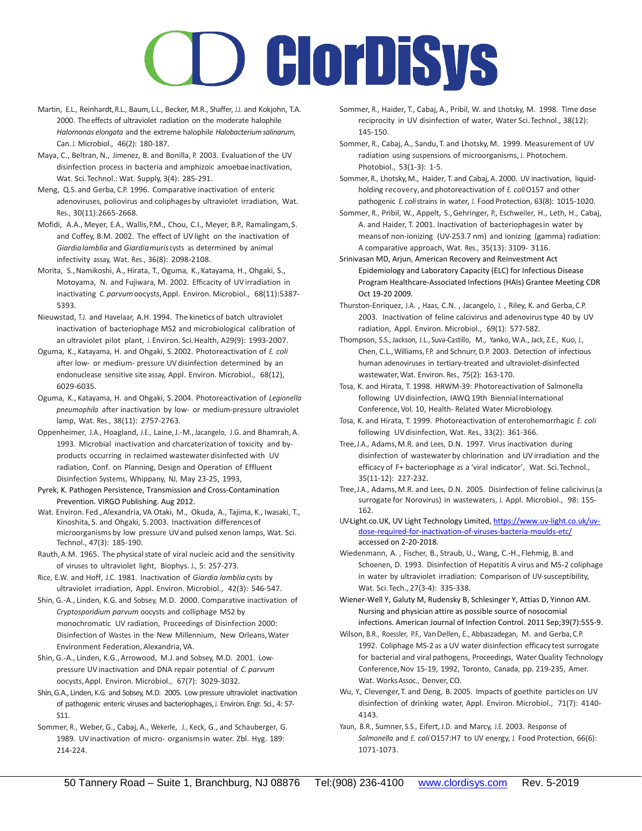### **D** GlorDiSys

- Martin, E.L., Reinhardt, R.L., Baum, L.L., Becker, M.R., Shaffer, J.J. and Kokjohn, T.A. 2000. The effects of ultraviolet radiation on the moderate halophile *Halomonas elongata* and the extreme halophile *Halobacterium salinarum*, Can. J. Microbiol., 46(2): 180-187.
- Maya, C., Beltran, N., Jimenez, B. and Bonilla, P. 2003. Evaluationof the UV disinfection process in bacteria and amphizoic amoebae inactivation, Wat. Sci.Technol.: Wat. Supply, 3(4): 285-291.
- Meng, Q.S. and Gerba, C.P. 1996. Comparative inactivation of enteric adenoviruses, poliovirus and coliphages by ultraviolet irradiation, Wat. Res., 30(11):2665-2668.
- Mofidi, A.A., Meyer, E.A., Wallis,P.M., Chou, C.I., Meyer, B.P., Ramalingam,S. and Coffey, B.M. 2002. The effect of UV light on the inactivation of *Giardialamblia* and *Giardiamuris* cysts as determined by animal infectivity assay, Wat. Res., 36(8): 2098-2108.
- Morita, S., Namikoshi, A., Hirata, T., Oguma, K., Katayama, H., Ohgaki, S., Motoyama, N. and Fujiwara, M. 2002. Efficacity of UVirradiation in inactivating *C. parvum* oocysts, Appl. Environ. Microbiol., 68(11):5387-5393.
- Nieuwstad, T.J. and Havelaar, A.H. 1994. The kinetics of batch ultraviolet inactivation of bacteriophage MS2 and microbiological calibration of an ultraviolet pilot plant, J. Environ. Sci.Health, A29(9): 1993-2007.
- Oguma, K., Katayama, H. and Ohgaki, S.2002. Photoreactivation of *E. coli* after low- or medium- pressure UV disinfection determined by an endonuclease sensitive site assay, Appl. Environ. Microbiol., 68(12), 6029-6035.
- Oguma, K., Katayama, H. and Ohgaki, S.2004. Photoreactivation of *Legionella pneumophila* after inactivation by low- or medium-pressure ultraviolet lamp, Wat. Res., 38(11): 2757-2763.
- Oppenheimer, J.A., Hoagland, J.E., Laine,J.-M.,Jacangelo, J.G. and Bhamrah, A. 1993. Microbial inactivation and charcaterization of toxicity and byproducts occurring in reclaimed wastewater disinfected with UV radiation, Conf. on Planning, Design and Operation of Effluent Disinfection Systems, Whippany, NJ, May 23-25, 1993,
- Pyrek, K. Pathogen Persistence, Transmission and Cross-Contamination Prevention. VIRGO Publishing. Aug 2012.
- Wat. Environ. Fed.,Alexandria, VA Otaki, M., Okuda, A., Tajima, K., Iwasaki, T., Kinoshita, S. and Ohgaki, S.2003. Inactivation differencesof microorganisms by low pressure UVand pulsed xenon lamps, Wat. Sci. Technol., 47(3): 185-190.
- Rauth, A.M. 1965. The physical state of viral nucleic acid and the sensitivity of viruses to ultraviolet light, Biophys. J., 5: 257-273.
- Rice, E.W. and Hoff, J.C. 1981. Inactivation of *Giardia lamblia* cysts by ultraviolet irradiation, Appl. Environ. Microbiol., 42(3): 546-547.
- Shin, G.-A., Linden, K.G. and Sobsey, M.D. 2000. Comparative inactivation of *Cryptosporidium parvum* oocysts and colliphage MS2 by monochromatic UV radiation, Proceedings of Disinfection 2000: Disinfection of Wastes in the New Millennium, New Orleans,Water Environment Federation, Alexandria, VA.
- Shin, G.-A., Linden, K.G., Arrowood, M.J.and Sobsey, M.D. 2001. Lowpressure UVinactivation and DNA repair potential of *C.parvum* oocysts,Appl. Environ. Microbiol., 67(7): 3029-3032.
- Shin,G.A., Linden, K.G. and Sobsey, M.D. 2005. Low pressure ultraviolet inactivation of pathogenic enteric viruses and bacteriophages, J. Environ. Engr. Sci., 4: S7-S11.
- Sommer, R., Weber, G., Cabaj, A., Wekerle, J., Keck, G., and Schauberger, G. 1989. UVinactivation of micro- organismsin water. Zbl. Hyg. 189: 214-224.
- Sommer, R., Haider, T., Cabaj, A., Pribil, W. and Lhotsky, M. 1998. Time dose reciprocity in UV disinfection of water, Water Sci.Technol., 38(12): 145-150.
- Sommer, R., Cabaj, A., Sandu, T. and Lhotsky, M. 1999. Measurement of UV radiation using suspensions of microorganisms, J. Photochem. Photobiol., 53(1-3): 1-5.
- Sommer, R., Lhotsky, M., Haider, T. and Cabaj, A. 2000. UV inactivation, liquidholding recovery, and photoreactivation of *E. coli*O157 and other pathogenic *E. coli*strains in water, J. Food Protection, 63(8): 1015-1020.
- Sommer, R., Pribil, W., Appelt, S.,Gehringer, P., Eschweiler, H., Leth, H., Cabaj, A. and Haider, T. 2001. Inactivation of bacteriophagesin water by meansof non-ionizing (UV-253.7 nm) and ionizing (gamma) radiation: A comparative approach, Wat. Res., 35(13): 3109- 3116.
- Srinivasan MD, Arjun, American Recovery and Reinvestment Act Epidemiology and Laboratory Capacity (ELC) for Infectious Disease Program Healthcare-Associated Infections (HAIs) Grantee Meeting CDR Oct 19-20 2009.
- Thurston-Enriquez, J.A. , Haas, C.N. , Jacangelo, J. , Riley, K. and Gerba, C.P. 2003. Inactivation of feline calcivirus and adenovirustype 40 by UV radiation, Appl. Environ. Microbiol., 69(1): 577-582.
- Thompson, S.S., Jackson, J.L., Suva-Castillo, M., Yanko, W.A., Jack, Z.E., Kuo, J., Chen, C.L.,Williams, F.P. and Schnurr, D.P. 2003. Detection of infectious human adenoviruses in tertiary-treated and ultraviolet-disinfected wastewater,Wat. Environ. Res., 75(2): 163-170.
- Tosa, K. and Hirata, T. 1998. HRWM-39: Photoreactivation of Salmonella following UVdisinfection, IAWQ 19th Biennial International Conference, Vol. 10, Health- Related Water Microbiology.
- Tosa, K. and Hirata, T. 1999. Photoreactivation of enterohemorrhagic *E. coli* following UV disinfection, Wat. Res., 33(2): 361-366.
- Tree, J.A., Adams, M.R. and Lees, D.N. 1997. Virus inactivation during disinfection of wastewater by chlorination and UV irradiation and the efficacy of F+ bacteriophage as a 'viral indicator', Wat. Sci.Technol., 35(11-12): 227-232.
- Tree, J.A., Adams, M.R. and Lees, D.N. 2005. Disinfection of feline calicivirus (a surrogate for Norovirus) in wastewaters, J. Appl. Microbiol., 98: 155- 162.
- UV-Light.co.UK, UV Light Technology Limited, [https://www.uv-light.co.uk/uv](https://www.uv-light.co.uk/uv-dose-required-for-inactivation-of-viruses-bacteria-moulds-etc/)[dose-required-for-inactivation-of-viruses-bacteria-moulds-etc/](https://www.uv-light.co.uk/uv-dose-required-for-inactivation-of-viruses-bacteria-moulds-etc/)  accessed on 2-20-2018.
- Wiedenmann, A. , Fischer, B., Straub, U., Wang, C.-H., Flehmig, B. and Schoenen, D. 1993. Disinfection of Hepatitis A virus and MS-2 coliphage in water by ultraviolet irradiation: Comparison of UV-susceptibility, Wat. Sci.Tech., 27(3-4): 335-338.
- Wiener-Well Y, Galuty M, Rudensky B, Schlesinger Y, Attias D, Yinnon AM. Nursing and physician attire as possible source of nosocomial infections. American Journal of Infection Control. 2011 Sep;39(7):555-9.
- Wilson, B.R., Roessler, P.F., VanDellen, E., Abbaszadegan, M. and Gerba, C.P. 1992. Coliphage MS-2 as a UV water disinfection efficacy test surrogate for bacterial and viral pathogens, Proceedings, Water Quality Technology Conference,Nov 15-19, 1992, Toronto, Canada, pp. 219-235, Amer. Wat. Works Assoc., Denver, CO.
- Wu, Y., Clevenger,T. and Deng, B. 2005. Impacts of goethite particles on UV disinfection of drinking water, Appl. Environ. Microbiol., 71(7): 4140- 4143.
- Yaun, B.R., Sumner, S.S., Eifert, J.D. and Marcy, J.E. 2003. Response of *Salmonella* and *E. coli*O157:H7 to UV energy, J. Food Protection, 66(6): 1071-1073.